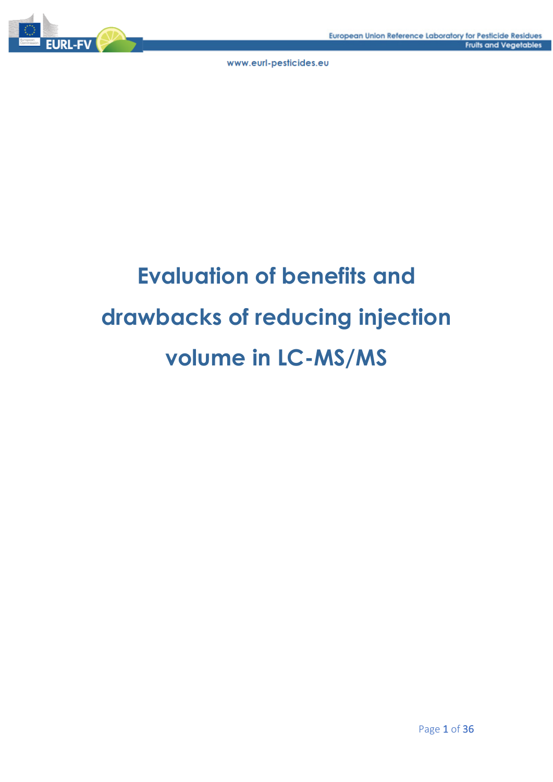

# **Evaluation of benefits and drawbacks of reducing injection volume in LC-MS/MS**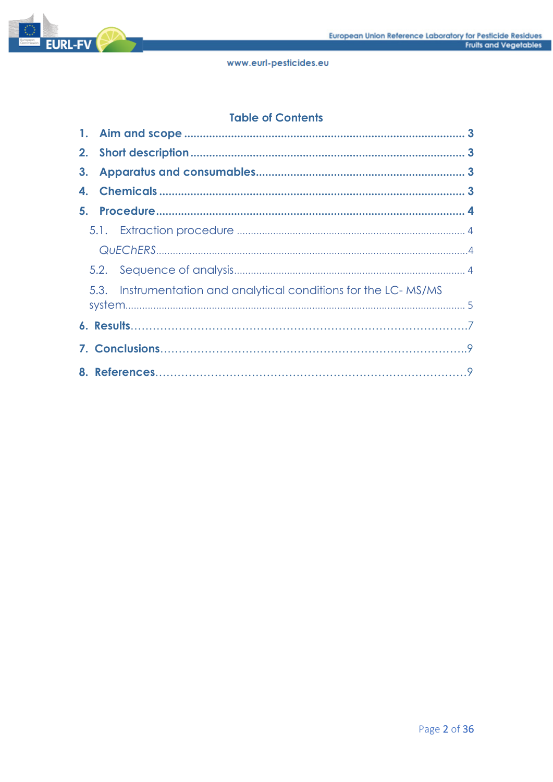

## **Table of Contents**

| 4. |                                                                 |  |
|----|-----------------------------------------------------------------|--|
|    |                                                                 |  |
|    |                                                                 |  |
|    |                                                                 |  |
|    |                                                                 |  |
|    | 5.3. Instrumentation and analytical conditions for the LC-MS/MS |  |
|    |                                                                 |  |
|    |                                                                 |  |
|    |                                                                 |  |
|    |                                                                 |  |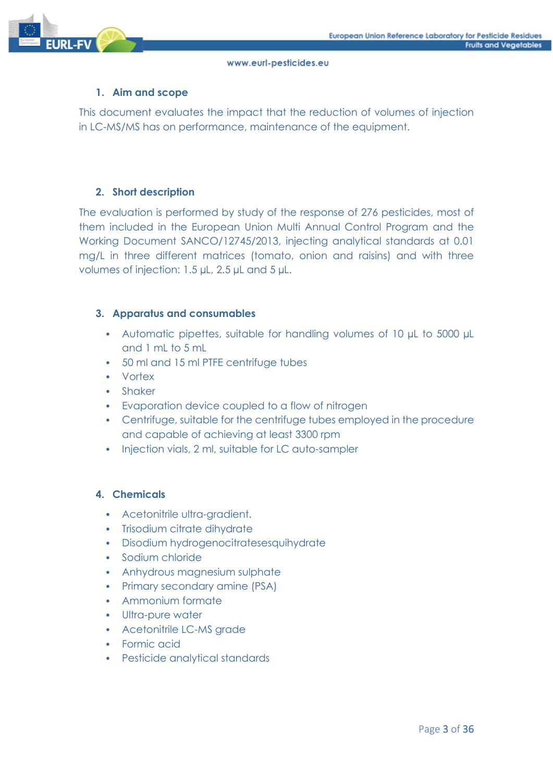

#### <span id="page-2-0"></span>**1. Aim and scope**

This document evaluates the impact that the reduction of volumes of injection in LC-MS/MS has on performance, maintenance of the equipment.

#### <span id="page-2-1"></span>**2. Short description**

The evaluation is performed by study of the response of 276 pesticides, most of them included in the European Union Multi Annual Control Program and the Working Document SANCO/12745/2013, injecting analytical standards at 0.01 mg/L in three different matrices (tomato, onion and raisins) and with three volumes of injection: 1.5 µL, 2.5 µL and 5 µL.

#### <span id="page-2-2"></span>**3. Apparatus and consumables**

- Automatic pipettes, suitable for handling volumes of 10 µL to 5000 µL and 1 mL to 5 mL
- 50 ml and 15 ml PTFE centrifuge tubes
- Vortex
- Shaker
- Evaporation device coupled to a flow of nitrogen
- Centrifuge, suitable for the centrifuge tubes employed in the procedure and capable of achieving at least 3300 rpm
- Injection vials, 2 ml, suitable for LC auto-sampler

## <span id="page-2-3"></span>**4. Chemicals**

- Acetonitrile ultra-gradient.
- Trisodium citrate dihydrate
- Disodium hydrogenocitratesesquihydrate
- Sodium chloride
- Anhydrous magnesium sulphate
- Primary secondary amine (PSA)
- Ammonium formate
- Ultra-pure water
- Acetonitrile LC-MS grade
- Formic acid
- Pesticide analytical standards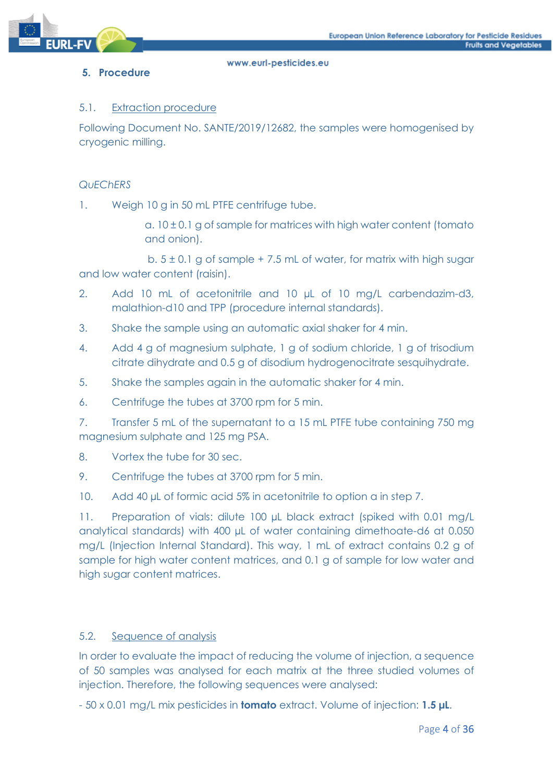

## <span id="page-3-0"></span>**5. Procedure**

#### <span id="page-3-1"></span>5.1. Extraction procedure

Following Document No. SANTE/2019/12682, the samples were homogenised by cryogenic milling.

#### <span id="page-3-2"></span>*QuEChERS*

1. Weigh 10 g in 50 mL PTFE centrifuge tube.

a.  $10 \pm 0.1$  g of sample for matrices with high water content (tomato and onion).

b.  $5 \pm 0.1$  g of sample + 7.5 mL of water, for matrix with high sugar and low water content (raisin).

- 2. Add 10 mL of acetonitrile and 10 µL of 10 mg/L carbendazim-d3, malathion-d10 and TPP (procedure internal standards).
- 3. Shake the sample using an automatic axial shaker for 4 min.
- 4. Add 4 g of magnesium sulphate, 1 g of sodium chloride, 1 g of trisodium citrate dihydrate and 0.5 g of disodium hydrogenocitrate sesquihydrate.
- 5. Shake the samples again in the automatic shaker for 4 min.
- 6. Centrifuge the tubes at 3700 rpm for 5 min.
- 7. Transfer 5 mL of the supernatant to a 15 mL PTFE tube containing 750 mg magnesium sulphate and 125 mg PSA.
- 8. Vortex the tube for 30 sec.
- 9. Centrifuge the tubes at 3700 rpm for 5 min.
- 10. Add 40 µL of formic acid 5% in acetonitrile to option a in step 7.

11. Preparation of vials: dilute 100 µL black extract (spiked with 0.01 mg/L analytical standards) with 400 µL of water containing dimethoate-d6 at 0.050 mg/L (Injection Internal Standard). This way, 1 mL of extract contains 0.2 g of sample for high water content matrices, and 0.1 g of sample for low water and high sugar content matrices.

#### <span id="page-3-3"></span>5.2. Sequence of analysis

In order to evaluate the impact of reducing the volume of injection, a sequence of 50 samples was analysed for each matrix at the three studied volumes of injection. Therefore, the following sequences were analysed:

- 50 x 0.01 mg/L mix pesticides in **tomato** extract. Volume of injection: **1.5 µL**.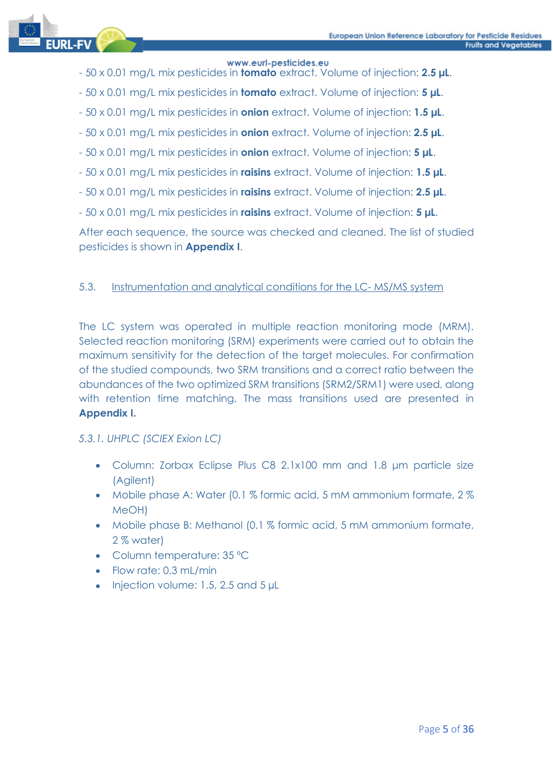

- 50 x 0.01 mg/L mix pesticides in **tomato** extract. Volume of injection: **2.5 µL**.
- 50 x 0.01 mg/L mix pesticides in **tomato** extract. Volume of injection: **5 µL**.
- 50 x 0.01 mg/L mix pesticides in **onion** extract. Volume of injection: **1.5 µL**.
- 50 x 0.01 mg/L mix pesticides in **onion** extract. Volume of injection: **2.5 µL**.
- 50 x 0.01 mg/L mix pesticides in **onion** extract. Volume of injection: **5 µL**.
- 50 x 0.01 mg/L mix pesticides in **raisins** extract. Volume of injection: **1.5 µL**.
- 50 x 0.01 mg/L mix pesticides in **raisins** extract. Volume of injection: **2.5 µL**.
- 50 x 0.01 mg/L mix pesticides in **raisins** extract. Volume of injection: **5 µL**.

After each sequence, the source was checked and cleaned. The list of studied pesticides is shown in **Appendix I**.

## <span id="page-4-0"></span>5.3. Instrumentation and analytical conditions for the LC- MS/MS system

The LC system was operated in multiple reaction monitoring mode (MRM). Selected reaction monitoring (SRM) experiments were carried out to obtain the maximum sensitivity for the detection of the target molecules. For confirmation of the studied compounds, two SRM transitions and a correct ratio between the abundances of the two optimized SRM transitions (SRM2/SRM1) were used, along with retention time matching. The mass transitions used are presented in **Appendix I.**

## *5.3.1. UHPLC (SCIEX Exion LC)*

- Column: Zorbax Eclipse Plus C8 2.1x100 mm and 1.8 μm particle size (Agilent)
- Mobile phase A: Water (0.1 % formic acid, 5 mM ammonium formate, 2 % MeOH)
- Mobile phase B: Methanol (0.1 % formic acid, 5 mM ammonium formate, 2 % water)
- Column temperature: 35 ºC
- Flow rate: 0.3 mL/min
- Injection volume: 1.5, 2.5 and 5 µL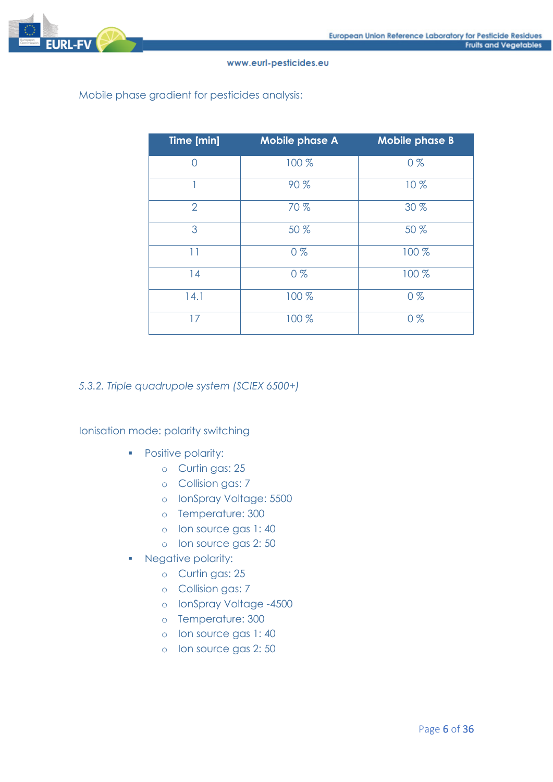

#### Mobile phase gradient for pesticides analysis:

| Time [min]     | <b>Mobile phase A</b> | <b>Mobile phase B</b> |
|----------------|-----------------------|-----------------------|
| Ω              | 100 %                 | $0\%$                 |
|                | 90%                   | 10%                   |
| $\overline{2}$ | 70 %                  | 30 %                  |
| 3              | 50 %                  | 50 %                  |
| 11             | $0\%$                 | 100 %                 |
| 14             | $0\%$                 | 100 %                 |
| 14.1           | 100 %                 | $0\%$                 |
| 17             | 100 %                 | $0\%$                 |

#### *5.3.2. Triple quadrupole system (SCIEX 6500+)*

Ionisation mode: polarity switching

- Positive polarity:
	- o Curtin gas: 25
	- o Collision gas: 7
	- o IonSpray Voltage: 5500
	- o Temperature: 300
	- o Ion source gas 1: 40
	- o Ion source gas 2: 50
- Negative polarity:
	- o Curtin gas: 25
	- o Collision gas: 7
	- o IonSpray Voltage -4500
	- o Temperature: 300
	- o Ion source gas 1: 40
	- o Ion source gas 2: 50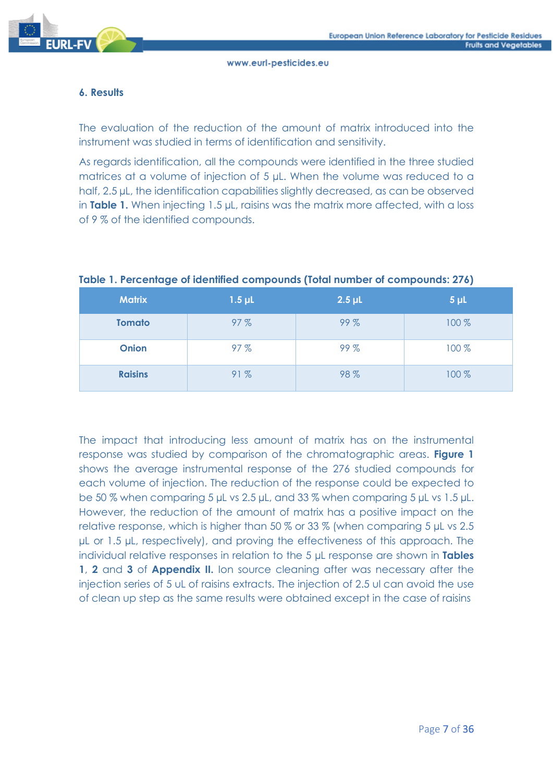

#### **6. Results**

The evaluation of the reduction of the amount of matrix introduced into the instrument was studied in terms of identification and sensitivity.

As regards identification, all the compounds were identified in the three studied matrices at a volume of injection of 5 µL. When the volume was reduced to a half, 2.5 µL, the identification capabilities slightly decreased, as can be observed in **Table 1.** When injecting 1.5 µL, raisins was the matrix more affected, with a loss of 9 % of the identified compounds.

| <b>Matrix</b>  | $1.5$ $\mu$ L | $2.5$ µL | 5 <sub>µ</sub> |
|----------------|---------------|----------|----------------|
| <b>Tomato</b>  | 97%           | 99%      | 100%           |
| <b>Onion</b>   | 97%           |          | 100%           |
| <b>Raisins</b> | 91%           | 98%      | 100%           |

#### **Table 1. Percentage of identified compounds (Total number of compounds: 276)**

The impact that introducing less amount of matrix has on the instrumental response was studied by comparison of the chromatographic areas. **Figure 1**  shows the average instrumental response of the 276 studied compounds for each volume of injection. The reduction of the response could be expected to be 50 % when comparing 5 µL vs 2.5 µL, and 33 % when comparing 5 µL vs 1.5 µL. However, the reduction of the amount of matrix has a positive impact on the relative response, which is higher than 50 % or 33 % (when comparing 5 µL vs 2.5 µL or 1.5 µL, respectively), and proving the effectiveness of this approach. The individual relative responses in relation to the 5 µL response are shown in **Tables 1**, **2** and **3** of **Appendix II.** Ion source cleaning after was necessary after the injection series of 5 uL of raisins extracts. The injection of 2.5 ul can avoid the use of clean up step as the same results were obtained except in the case of raisins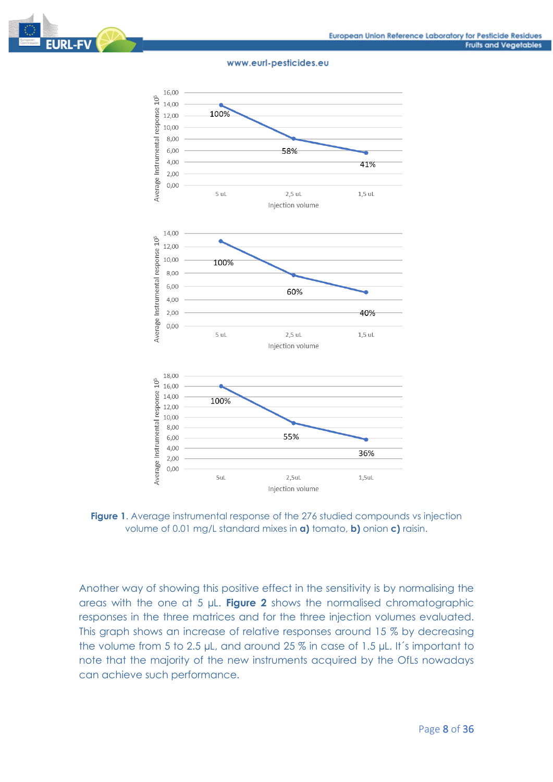



**Figure 1**. Average instrumental response of the 276 studied compounds vs injection volume of 0.01 mg/L standard mixes in **a)** tomato, **b)** onion **c)** raisin.

Another way of showing this positive effect in the sensitivity is by normalising the areas with the one at 5 µL. **Figure 2** shows the normalised chromatographic responses in the three matrices and for the three injection volumes evaluated. This graph shows an increase of relative responses around 15 % by decreasing the volume from 5 to 2.5 µL, and around 25 % in case of 1.5 µL. It´s important to note that the majority of the new instruments acquired by the OfLs nowadays can achieve such performance.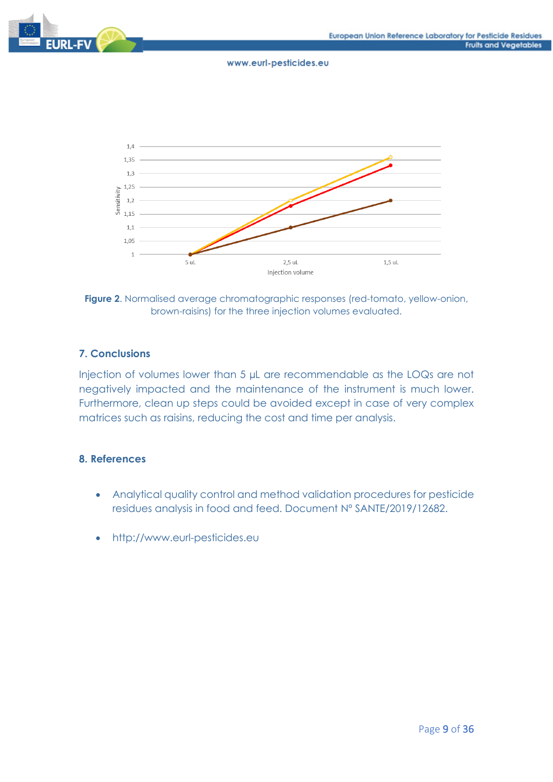



**Figure 2**. Normalised average chromatographic responses (red-tomato, yellow-onion, brown-raisins) for the three injection volumes evaluated.

#### **7. Conclusions**

Injection of volumes lower than 5 µL are recommendable as the LOQs are not negatively impacted and the maintenance of the instrument is much lower. Furthermore, clean up steps could be avoided except in case of very complex matrices such as raisins, reducing the cost and time per analysis.

#### **8. References**

- Analytical quality control and method validation procedures for pesticide residues analysis in food and feed. Document Nº SANTE/2019/12682.
- http://www.eurl-pesticides.eu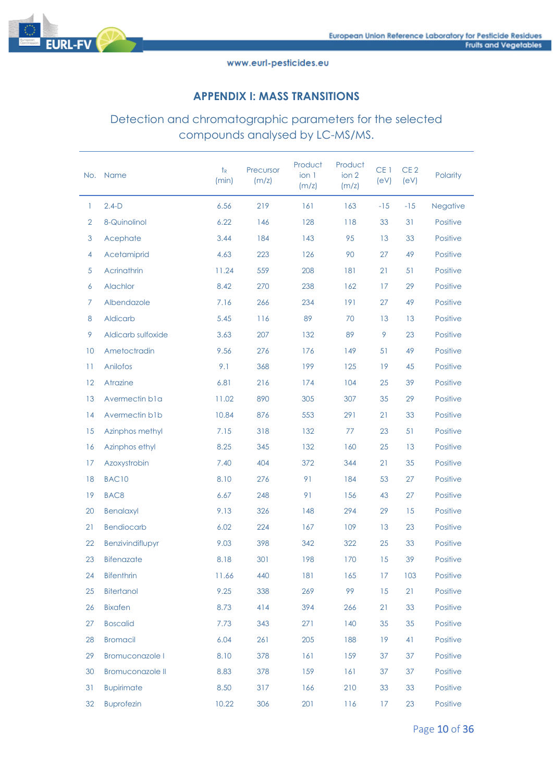

## **APPENDIX I: MASS TRANSITIONS**

Detection and chromatographic parameters for the selected compounds analysed by LC-MS/MS.

| No.            | Name                    | $t_{\rm R}$<br>(min) | Precursor<br>(m/z) | Product<br>ion 1<br>(m/z) | Product<br>ion 2<br>(m/z) | CE <sub>1</sub><br>(eV) | CE <sub>2</sub><br>(eV) | Polarity |
|----------------|-------------------------|----------------------|--------------------|---------------------------|---------------------------|-------------------------|-------------------------|----------|
| 1              | $2.4-D$                 | 6.56                 | 219                | 161                       | 163                       | $-15$                   | $-15$                   | Negative |
| $\overline{2}$ | 8-Quinolinol            | 6.22                 | 146                | 128                       | 118                       | 33                      | 31                      | Positive |
| 3              | Acephate                | 3.44                 | 184                | 143                       | 95                        | 13                      | 33                      | Positive |
| 4              | Acetamiprid             | 4.63                 | 223                | 126                       | 90                        | 27                      | 49                      | Positive |
| 5              | Acrinathrin             | 11.24                | 559                | 208                       | 181                       | 21                      | 51                      | Positive |
| 6              | Alachlor                | 8.42                 | 270                | 238                       | 162                       | 17                      | 29                      | Positive |
| 7              | Albendazole             | 7.16                 | 266                | 234                       | 191                       | 27                      | 49                      | Positive |
| 8              | Aldicarb                | 5.45                 | 116                | 89                        | 70                        | 13                      | 13                      | Positive |
| 9              | Aldicarb sulfoxide      | 3.63                 | 207                | 132                       | 89                        | 9                       | 23                      | Positive |
| 10             | Ametoctradin            | 9.56                 | 276                | 176                       | 149                       | 51                      | 49                      | Positive |
| 11             | Anilofos                | 9.1                  | 368                | 199                       | 125                       | 19                      | 45                      | Positive |
| 12             | Atrazine                | 6.81                 | 216                | 174                       | 104                       | 25                      | 39                      | Positive |
| 13             | Avermectin b1a          | 11.02                | 890                | 305                       | 307                       | 35                      | 29                      | Positive |
| 14             | Avermectin b1b          | 10.84                | 876                | 553                       | 291                       | 21                      | 33                      | Positive |
| 15             | Azinphos methyl         | 7.15                 | 318                | 132                       | 77                        | 23                      | 51                      | Positive |
| 16             | Azinphos ethyl          | 8.25                 | 345                | 132                       | 160                       | 25                      | 13                      | Positive |
| 17             | Azoxystrobin            | 7.40                 | 404                | 372                       | 344                       | 21                      | 35                      | Positive |
| 18             | BAC <sub>10</sub>       | 8.10                 | 276                | 91                        | 184                       | 53                      | 27                      | Positive |
| 19             | BAC <sub>8</sub>        | 6.67                 | 248                | 91                        | 156                       | 43                      | 27                      | Positive |
| 20             | <b>Benalaxyl</b>        | 9.13                 | 326                | 148                       | 294                       | 29                      | 15                      | Positive |
| 21             | <b>Bendiocarb</b>       | 6.02                 | 224                | 167                       | 109                       | 13                      | 23                      | Positive |
| 22             | Benzivindiflupyr        | 9.03                 | 398                | 342                       | 322                       | 25                      | 33                      | Positive |
| 23             | Bifenazate              | 8.18                 | 301                | 198                       | 170                       | 15                      | 39                      | Positive |
| 24             | <b>Bifenthrin</b>       | 11.66                | 440                | 181                       | 165                       | 17 <sup>2</sup>         | 103                     | Positive |
| 25             | <b>Bitertanol</b>       | 9.25                 | 338                | 269                       | 99                        | 15                      | 21                      | Positive |
| 26             | <b>Bixafen</b>          | 8.73                 | 414                | 394                       | 266                       | 21                      | 33                      | Positive |
| 27             | <b>Boscalid</b>         | 7.73                 | 343                | 271                       | 140                       | 35                      | 35                      | Positive |
| 28             | <b>Bromacil</b>         | 6.04                 | 261                | 205                       | 188                       | 19                      | 41                      | Positive |
| 29             | Bromuconazole I         | 8.10                 | 378                | 161                       | 159                       | 37                      | 37                      | Positive |
| 30             | <b>Bromuconazole II</b> | 8.83                 | 378                | 159                       | 161                       | 37                      | 37                      | Positive |
| 31             | <b>Bupirimate</b>       | 8.50                 | 317                | 166                       | 210                       | 33                      | 33                      | Positive |
| 32             | <b>Buprofezin</b>       | 10.22                | 306                | 201                       | 116                       | 17                      | 23                      | Positive |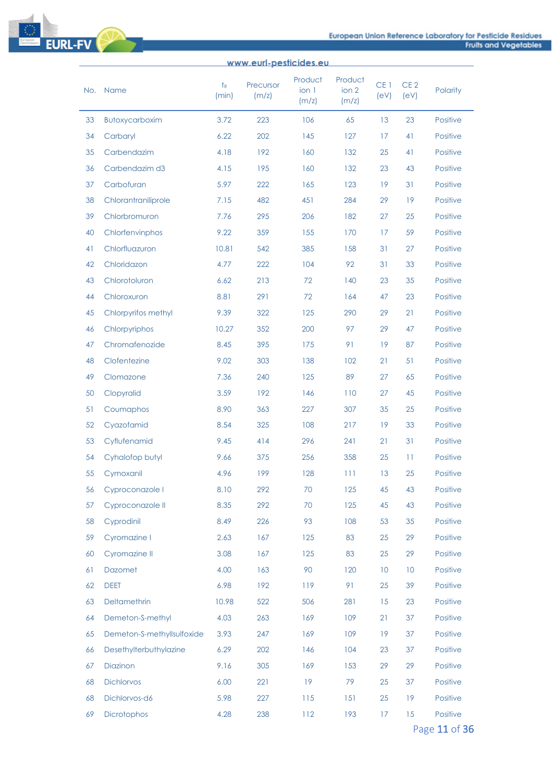

|    | www.eurl-pesticides.eu     |                  |                    |                           |                           |                         |                         |                 |  |  |
|----|----------------------------|------------------|--------------------|---------------------------|---------------------------|-------------------------|-------------------------|-----------------|--|--|
|    | No. Name                   | $t_{R}$<br>(min) | Precursor<br>(m/z) | Product<br>ion 1<br>(m/z) | Product<br>ion 2<br>(m/z) | CE <sub>1</sub><br>(eV) | CE <sub>2</sub><br>(eV) | Polarity        |  |  |
| 33 | Butoxycarboxim             | 3.72             | 223                | 106                       | 65                        | 13                      | 23                      | Positive        |  |  |
| 34 | Carbaryl                   | 6.22             | 202                | 145                       | 127                       | 17                      | 41                      | Positive        |  |  |
| 35 | Carbendazim                | 4.18             | 192                | 160                       | 132                       | 25                      | 41                      | Positive        |  |  |
| 36 | Carbendazim d3             | 4.15             | 195                | 160                       | 132                       | 23                      | 43                      | Positive        |  |  |
| 37 | Carbofuran                 | 5.97             | 222                | 165                       | 123                       | 19                      | 31                      | Positive        |  |  |
| 38 | Chlorantraniliprole        | 7.15             | 482                | 451                       | 284                       | 29                      | 19                      | Positive        |  |  |
| 39 | Chlorbromuron              | 7.76             | 295                | 206                       | 182                       | 27                      | 25                      | Positive        |  |  |
| 40 | Chlorfenvinphos            | 9.22             | 359                | 155                       | 170                       | 17                      | 59                      | Positive        |  |  |
| 41 | Chlorfluazuron             | 10.81            | 542                | 385                       | 158                       | 31                      | 27                      | Positive        |  |  |
| 42 | Chloridazon                | 4.77             | 222                | 104                       | 92                        | 31                      | 33                      | Positive        |  |  |
| 43 | Chlorotoluron              | 6.62             | 213                | 72                        | 140                       | 23                      | 35                      | Positive        |  |  |
| 44 | Chloroxuron                | 8.81             | 291                | 72                        | 164                       | 47                      | 23                      | Positive        |  |  |
| 45 | Chlorpyrifos methyl        | 9.39             | 322                | 125                       | 290                       | 29                      | 21                      | Positive        |  |  |
| 46 | Chlorpyriphos              | 10.27            | 352                | 200                       | 97                        | 29                      | 47                      | Positive        |  |  |
| 47 | Chromafenozide             | 8.45             | 395                | 175                       | 91                        | 19                      | 87                      | Positive        |  |  |
| 48 | Clofentezine               | 9.02             | 303                | 138                       | 102                       | 21                      | 51                      | <b>Positive</b> |  |  |
| 49 | Clomazone                  | 7.36             | 240                | 125                       | 89                        | 27                      | 65                      | Positive        |  |  |
| 50 | Clopyralid                 | 3.59             | 192                | 146                       | 110                       | 27                      | 45                      | Positive        |  |  |
| 51 | Coumaphos                  | 8.90             | 363                | 227                       | 307                       | 35                      | 25                      | Positive        |  |  |
| 52 | Cyazofamid                 | 8.54             | 325                | 108                       | 217                       | 19                      | 33                      | Positive        |  |  |
| 53 | Cyflufenamid               | 9.45             | 414                | 296                       | 241                       | 21                      | 31                      | Positive        |  |  |
| 54 | Cyhalofop butyl            | 9.66             | 375                | 256                       | 358                       | 25                      | 11                      | Positive        |  |  |
| 55 | Cymoxanil                  | 4.96             | 199                | 128                       | 111                       | 13                      | 25                      | Positive        |  |  |
| 56 | Cyproconazole I            | 8.10             | 292                | 70                        | 125                       | 45                      | 43                      | Positive        |  |  |
| 57 | Cyproconazole II           | 8.35             | 292                | 70                        | 125                       | 45                      | 43                      | Positive        |  |  |
| 58 | Cyprodinil                 | 8.49             | 226                | 93                        | 108                       | 53                      | 35                      | Positive        |  |  |
| 59 | Cyromazine I               | 2.63             | 167                | 125                       | 83                        | 25                      | 29                      | Positive        |  |  |
| 60 | Cyromazine II              | 3.08             | 167                | 125                       | 83                        | 25                      | 29                      | Positive        |  |  |
| 61 | Dazomet                    | 4.00             | 163                | 90                        | 120                       | 10                      | 10                      | Positive        |  |  |
| 62 | <b>DEET</b>                | 6.98             | 192                | 119                       | 91                        | 25                      | 39                      | Positive        |  |  |
| 63 | Deltamethrin               | 10.98            | 522                | 506                       | 281                       | 15                      | 23                      | Positive        |  |  |
| 64 | Demeton-S-methyl           | 4.03             | 263                | 169                       | 109                       | 21                      | 37                      | Positive        |  |  |
| 65 | Demeton-S-methyllsulfoxide | 3.93             | 247                | 169                       | 109                       | 19                      | 37                      | Positive        |  |  |
| 66 | Desethylterbuthylazine     | 6.29             | 202                | 146                       | 104                       | 23                      | 37                      | Positive        |  |  |
| 67 | Diazinon                   | 9.16             | 305                | 169                       | 153                       | 29                      | 29                      | Positive        |  |  |
| 68 | <b>Dichlorvos</b>          | 6.00             | 221                | 19                        | 79                        | 25                      | 37                      | Positive        |  |  |
| 68 | Dichlorvos-d6              | 5.98             | 227                | 115                       | 151                       | 25                      | 19                      | Positive        |  |  |
| 69 | Dicrotophos                | 4.28             | 238                | 112                       | 193                       | 17                      | 15                      | Positive        |  |  |

Page 11 of 36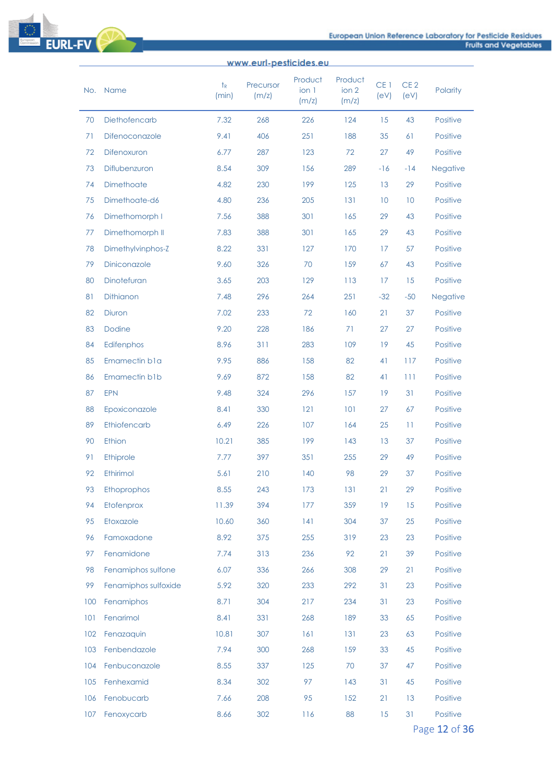

|     | www.eurl-pesticides.eu |                  |                    |                           |                                      |                         |                         |          |  |  |
|-----|------------------------|------------------|--------------------|---------------------------|--------------------------------------|-------------------------|-------------------------|----------|--|--|
|     | No. Name               | $t_{R}$<br>(min) | Precursor<br>(m/z) | Product<br>ion 1<br>(m/z) | Product<br>ion <sub>2</sub><br>(m/z) | CE <sub>1</sub><br>(eV) | CE <sub>2</sub><br>(eV) | Polarity |  |  |
| 70  | Diethofencarb          | 7.32             | 268                | 226                       | 124                                  | 15                      | 43                      | Positive |  |  |
| 71  | Difenoconazole         | 9.41             | 406                | 251                       | 188                                  | 35                      | 61                      | Positive |  |  |
| 72  | Difenoxuron            | 6.77             | 287                | 123                       | 72                                   | 27                      | 49                      | Positive |  |  |
| 73  | Diflubenzuron          | 8.54             | 309                | 156                       | 289                                  | $-16$                   | $-14$                   | Negative |  |  |
| 74  | Dimethoate             | 4.82             | 230                | 199                       | 125                                  | 13                      | 29                      | Positive |  |  |
| 75  | Dimethoate-d6          | 4.80             | 236                | 205                       | 131                                  | 10                      | 10                      | Positive |  |  |
| 76  | Dimethomorph I         | 7.56             | 388                | 301                       | 165                                  | 29                      | 43                      | Positive |  |  |
| 77  | Dimethomorph II        | 7.83             | 388                | 301                       | 165                                  | 29                      | 43                      | Positive |  |  |
| 78  | Dimethylvinphos-Z      | 8.22             | 331                | 127                       | 170                                  | 17                      | 57                      | Positive |  |  |
| 79  | Diniconazole           | 9.60             | 326                | 70                        | 159                                  | 67                      | 43                      | Positive |  |  |
| 80  | Dinotefuran            | 3.65             | 203                | 129                       | 113                                  | 17                      | 15                      | Positive |  |  |
| 81  | Dithianon              | 7.48             | 296                | 264                       | 251                                  | $-32$                   | $-50$                   | Negative |  |  |
| 82  | Diuron                 | 7.02             | 233                | 72                        | 160                                  | 21                      | 37                      | Positive |  |  |
| 83  | Dodine                 | 9.20             | 228                | 186                       | 71                                   | 27                      | 27                      | Positive |  |  |
| 84  | Edifenphos             | 8.96             | 311                | 283                       | 109                                  | 19                      | 45                      | Positive |  |  |
| 85  | Emamectin b1a          | 9.95             | 886                | 158                       | 82                                   | 41                      | 117                     | Positive |  |  |
| 86  | Emamectin b1b          | 9.69             | 872                | 158                       | 82                                   | 41                      | 111                     | Positive |  |  |
| 87  | <b>EPN</b>             | 9.48             | 324                | 296                       | 157                                  | 19                      | 31                      | Positive |  |  |
| 88  | Epoxiconazole          | 8.41             | 330                | 121                       | 101                                  | 27                      | 67                      | Positive |  |  |
| 89  | Ethiofencarb           | 6.49             | 226                | 107                       | 164                                  | 25                      | 11                      | Positive |  |  |
| 90  | Ethion                 | 10.21            | 385                | 199                       | 143                                  | 13                      | 37                      | Positive |  |  |
| 91  | Ethiprole              | 7.77             | 397                | 351                       | 255                                  | 29                      | 49                      | Positive |  |  |
| 92  | Ethirimol              | 5.61             | 210                | 140                       | 98                                   | 29                      | 37                      | Positive |  |  |
| 93  | Ethoprophos            | 8.55             | 243                | 173                       | 131                                  | 21                      | 29                      | Positive |  |  |
| 94  | Etofenprox             | 11.39            | 394                | 177                       | 359                                  | 19                      | 15                      | Positive |  |  |
| 95  | Etoxazole              | 10.60            | 360                | 4                         | 304                                  | 37                      | 25                      | Positive |  |  |
| 96  | Famoxadone             | 8.92             | 375                | 255                       | 319                                  | 23                      | 23                      | Positive |  |  |
| 97  | Fenamidone             | 7.74             | 313                | 236                       | 92                                   | 21                      | 39                      | Positive |  |  |
| 98  | Fenamiphos sulfone     | 6.07             | 336                | 266                       | 308                                  | 29                      | 21                      | Positive |  |  |
| 99  | Fenamiphos sulfoxide   | 5.92             | 320                | 233                       | 292                                  | 31                      | 23                      | Positive |  |  |
| 100 | Fenamiphos             | 8.71             | 304                | 217                       | 234                                  | 31                      | 23                      | Positive |  |  |
| 101 | Fenarimol              | 8.41             | 331                | 268                       | 189                                  | 33                      | 65                      | Positive |  |  |
| 102 | Fenazaquin             | 10.81            | 307                | 161                       | 131                                  | 23                      | 63                      | Positive |  |  |
| 103 | Fenbendazole           | 7.94             | 300                | 268                       | 159                                  | 33                      | 45                      | Positive |  |  |
| 104 | Fenbuconazole          | 8.55             | 337                | 125                       | 70                                   | 37                      | 47                      | Positive |  |  |
| 105 | Fenhexamid             | 8.34             | 302                | 97                        | 143                                  | 31                      | 45                      | Positive |  |  |
| 106 | Fenobucarb             | 7.66             | 208                | 95                        | 152                                  | 21                      | 13                      | Positive |  |  |
| 107 | Fenoxycarb             | 8.66             | 302                | 116                       | 88                                   | 15                      | 31                      | Positive |  |  |

Page 12 of 36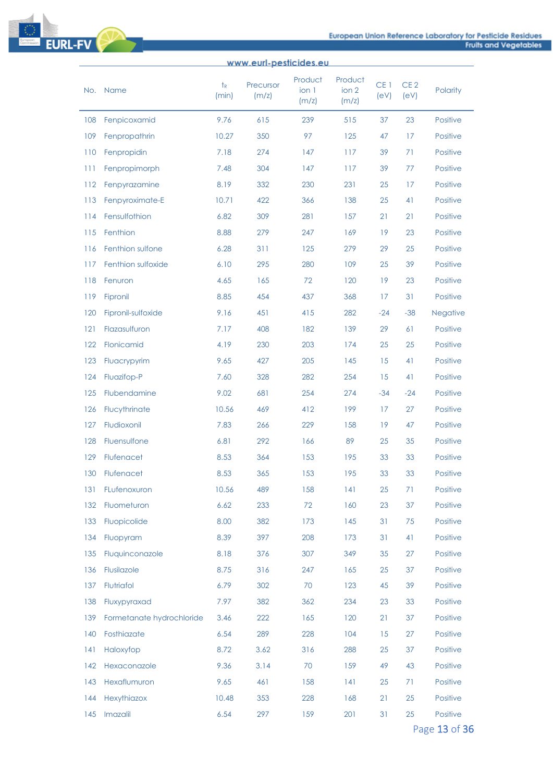

| No. | Name                      | $t_{R}$<br>(min) | Precursor<br>(m/z) | Product<br>ion 1<br>(m/z) | Product<br>ion <sub>2</sub><br>(m/z) | CE <sub>1</sub><br>(eV) | CE <sub>2</sub><br>(eV) | Polarity        |
|-----|---------------------------|------------------|--------------------|---------------------------|--------------------------------------|-------------------------|-------------------------|-----------------|
| 108 | Fenpicoxamid              | 9.76             | 615                | 239                       | 515                                  | 37                      | 23                      | Positive        |
| 109 | Fenpropathrin             | 10.27            | 350                | 97                        | 125                                  | 47                      | 17                      | Positive        |
| 110 | Fenpropidin               | 7.18             | 274                | 147                       | 117                                  | 39                      | 71                      | Positive        |
| 111 | Fenpropimorph             | 7.48             | 304                | 147                       | 117                                  | 39                      | 77                      | Positive        |
| 112 | Fenpyrazamine             | 8.19             | 332                | 230                       | 231                                  | 25                      | 17                      | Positive        |
| 113 | Fenpyroximate-E           | 10.71            | 422                | 366                       | 138                                  | 25                      | 41                      | Positive        |
| 114 | Fensulfothion             | 6.82             | 309                | 281                       | 157                                  | 21                      | 21                      | <b>Positive</b> |
| 115 | Fenthion                  | 8.88             | 279                | 247                       | 169                                  | 19                      | 23                      | Positive        |
| 116 | Fenthion sulfone          | 6.28             | 311                | 125                       | 279                                  | 29                      | 25                      | Positive        |
| 117 | Fenthion sulfoxide        | 6.10             | 295                | 280                       | 109                                  | 25                      | 39                      | Positive        |
| 118 | Fenuron                   | 4.65             | 165                | 72                        | 120                                  | 19                      | 23                      | Positive        |
| 119 | Fipronil                  | 8.85             | 454                | 437                       | 368                                  | 17                      | 31                      | Positive        |
| 120 | Fipronil-sulfoxide        | 9.16             | 451                | 415                       | 282                                  | $-24$                   | $-38$                   | <b>Negative</b> |
| 121 | Flazasulfuron             | 7.17             | 408                | 182                       | 139                                  | 29                      | 61                      | Positive        |
| 122 | Flonicamid                | 4.19             | 230                | 203                       | 174                                  | 25                      | 25                      | Positive        |
| 123 | Fluacrypyrim              | 9.65             | 427                | 205                       | 145                                  | 15                      | 41                      | Positive        |
| 124 | Fluazifop-P               | 7.60             | 328                | 282                       | 254                                  | 15                      | 41                      | Positive        |
| 125 | Flubendamine              | 9.02             | 681                | 254                       | 274                                  | $-34$                   | $-24$                   | Positive        |
| 126 | Flucythrinate             | 10.56            | 469                | 412                       | 199                                  | 17                      | 27                      | <b>Positive</b> |
| 127 | Fludioxonil               | 7.83             | 266                | 229                       | 158                                  | 19                      | 47                      | Positive        |
| 128 | Fluensulfone              | 6.81             | 292                | 166                       | 89                                   | 25                      | 35                      | <b>Positive</b> |
| 129 | Flufenacet                | 8.53             | 364                | 153                       | 195                                  | 33                      | 33                      | Positive        |
| 130 | Flufenacet                | 8.53             | 365                | 153                       | 195                                  | 33                      | 33                      | <b>Positive</b> |
| 131 | FLufenoxuron              | 10.56            | 489                | 158                       | 141                                  | 25                      | 71                      | Positive        |
| 132 | Fluometuron               | 6.62             | 233                | 72                        | 160                                  | 23                      | 37                      | Positive        |
| 133 | Fluopicolide              | 8.00             | 382                | 173                       | 145                                  | 31                      | 75                      | Positive        |
| 134 | Fluopyram                 | 8.39             | 397                | 208                       | 173                                  | 31                      | 41                      | Positive        |
| 135 | Fluquinconazole           | 8.18             | 376                | 307                       | 349                                  | 35                      | 27                      | Positive        |
| 136 | Flusilazole               | 8.75             | 316                | 247                       | 165                                  | 25                      | 37                      | Positive        |
| 137 | Flutriafol                | 6.79             | 302                | 70                        | 123                                  | 45                      | 39                      | Positive        |
| 138 | Fluxypyraxad              | 7.97             | 382                | 362                       | 234                                  | 23                      | 33                      | Positive        |
| 139 | Formetanate hydrochloride | 3.46             | 222                | 165                       | 120                                  | 21                      | 37                      | Positive        |
| 140 | Fosthiazate               | 6.54             | 289                | 228                       | 104                                  | 15                      | 27                      | Positive        |
| 141 | Haloxyfop                 | 8.72             | 3.62               | 316                       | 288                                  | 25                      | 37                      | Positive        |
| 142 | Hexaconazole              | 9.36             | 3.14               | 70                        | 159                                  | 49                      | 43                      | Positive        |
| 143 | Hexaflumuron              | 9.65             | 461                | 158                       | 141                                  | 25                      | 71                      | Positive        |
| 144 | Hexythiazox               | 10.48            | 353                | 228                       | 168                                  | 21                      | 25                      | Positive        |
| 145 | Imazalil                  | 6.54             | 297                | 159                       | 201                                  | 31                      | 25                      | Positive        |

Page 13 of 36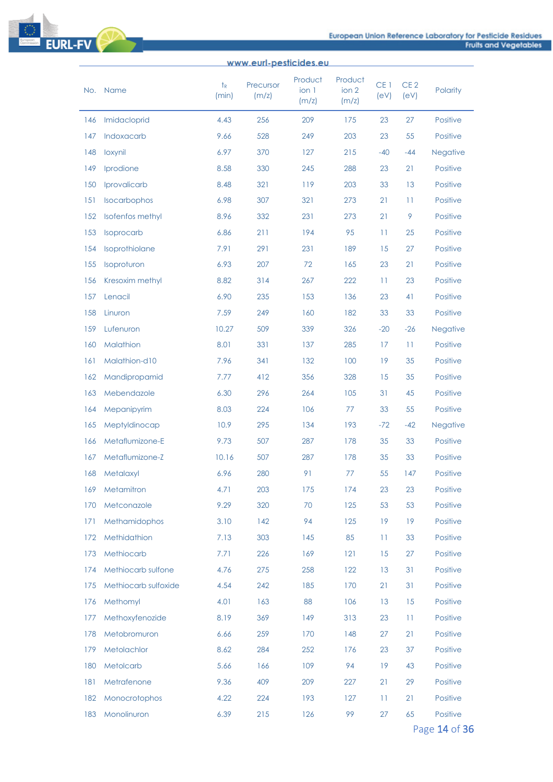

|     | www.eurl-pesticides.eu |                  |                    |                           |                           |                         |                         |                 |  |  |
|-----|------------------------|------------------|--------------------|---------------------------|---------------------------|-------------------------|-------------------------|-----------------|--|--|
|     | No. Name               | $t_{R}$<br>(min) | Precursor<br>(m/z) | Product<br>ion 1<br>(m/z) | Product<br>ion 2<br>(m/z) | CE <sub>1</sub><br>(eV) | CE <sub>2</sub><br>(eV) | Polarity        |  |  |
| 146 | Imidacloprid           | 4.43             | 256                | 209                       | 175                       | 23                      | 27                      | Positive        |  |  |
| 147 | Indoxacarb             | 9.66             | 528                | 249                       | 203                       | 23                      | 55                      | Positive        |  |  |
| 148 | loxynil                | 6.97             | 370                | 127                       | 215                       | $-40$                   | $-44$                   | <b>Negative</b> |  |  |
| 149 | Iprodione              | 8.58             | 330                | 245                       | 288                       | 23                      | 21                      | Positive        |  |  |
| 150 | Iprovalicarb           | 8.48             | 321                | 119                       | 203                       | 33                      | 13                      | Positive        |  |  |
| 151 | Isocarbophos           | 6.98             | 307                | 321                       | 273                       | 21                      | 11                      | Positive        |  |  |
| 152 | Isofenfos methyl       | 8.96             | 332                | 231                       | 273                       | 21                      | 9                       | Positive        |  |  |
| 153 | Isoprocarb             | 6.86             | 211                | 194                       | 95                        | 11                      | 25                      | Positive        |  |  |
| 154 | Isoprothiolane         | 7.91             | 291                | 231                       | 189                       | 15                      | 27                      | Positive        |  |  |
| 155 | Isoproturon            | 6.93             | 207                | 72                        | 165                       | 23                      | 21                      | Positive        |  |  |
| 156 | Kresoxim methyl        | 8.82             | 314                | 267                       | 222                       | 11                      | 23                      | <b>Positive</b> |  |  |
| 157 | Lenacil                | 6.90             | 235                | 153                       | 136                       | 23                      | 41                      | Positive        |  |  |
| 158 | Linuron                | 7.59             | 249                | 160                       | 182                       | 33                      | 33                      | Positive        |  |  |
| 159 | Lufenuron              | 10.27            | 509                | 339                       | 326                       | $-20$                   | $-26$                   | <b>Negative</b> |  |  |
| 160 | Malathion              | 8.01             | 331                | 137                       | 285                       | 17                      | 11                      | Positive        |  |  |
| 161 | Malathion-d10          | 7.96             | 341                | 132                       | 100                       | 19                      | 35                      | Positive        |  |  |
| 162 | Mandipropamid          | 7.77             | 412                | 356                       | 328                       | 15                      | 35                      | Positive        |  |  |
| 163 | Mebendazole            | 6.30             | 296                | 264                       | 105                       | 31                      | 45                      | Positive        |  |  |
| 164 | Mepanipyrim            | 8.03             | 224                | 106                       | 77                        | 33                      | 55                      | Positive        |  |  |
| 165 | Meptyldinocap          | 10.9             | 295                | 134                       | 193                       | $-72$                   | $-42$                   | Negative        |  |  |
| 166 | Metaflumizone-E        | 9.73             | 507                | 287                       | 178                       | 35                      | 33                      | Positive        |  |  |
| 167 | Metaflumizone-Z        | 10.16            | 507                | 287                       | 178                       | 35                      | 33                      | Positive        |  |  |
|     | 168 Metalaxyl          | 6.96             | 280                | 91                        | 77                        | 55                      | 147                     | Positive        |  |  |
| 169 | Metamitron             | 4.71             | 203                | 175                       | 174                       | 23                      | 23                      | Positive        |  |  |
| 170 | Metconazole            | 9.29             | 320                | 70                        | 125                       | 53                      | 53                      | Positive        |  |  |
| 171 | Methamidophos          | 3.10             | 142                | 94                        | 125                       | 19                      | 19                      | Positive        |  |  |
| 172 | Methidathion           | 7.13             | 303                | 145                       | 85                        | 11                      | 33                      | Positive        |  |  |
| 173 | Methiocarb             | 7.71             | 226                | 169                       | 121                       | 15                      | 27                      | Positive        |  |  |
| 174 | Methiocarb sulfone     | 4.76             | 275                | 258                       | 122                       | 13                      | 31                      | Positive        |  |  |
| 175 | Methiocarb sulfoxide   | 4.54             | 242                | 185                       | 170                       | 21                      | 31                      | Positive        |  |  |
| 176 | Methomyl               | 4.01             | 163                | 88                        | 106                       | 13                      | 15                      | Positive        |  |  |
| 177 | Methoxyfenozide        | 8.19             | 369                | 149                       | 313                       | 23                      | 11                      | Positive        |  |  |
| 178 | Metobromuron           | 6.66             | 259                | 170                       | 148                       | 27                      | 21                      | Positive        |  |  |
| 179 | Metolachlor            | 8.62             | 284                | 252                       | 176                       | 23                      | 37                      | Positive        |  |  |
| 180 | Metolcarb              | 5.66             | 166                | 109                       | 94                        | 19                      | 43                      | Positive        |  |  |
| 181 | Metrafenone            | 9.36             | 409                | 209                       | 227                       | 21                      | 29                      | Positive        |  |  |
| 182 | Monocrotophos          | 4.22             | 224                | 193                       | 127                       | 11                      | 21                      | Positive        |  |  |
| 183 | Monolinuron            | 6.39             | 215                | 126                       | 99                        | 27                      | 65                      | Positive        |  |  |

Page 14 of 36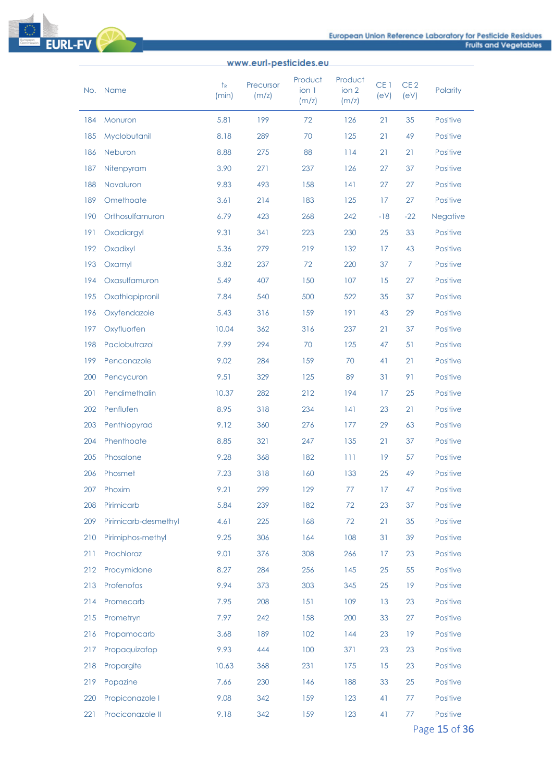

| No. | Name                 | $t_{R}$<br>(min) | Precursor<br>(m/z) | Product<br>ion 1<br>(m/z) | Product<br>ion 2<br>(m/z) | CE <sub>1</sub><br>(eV) | CE <sub>2</sub><br>(eV) | Polarity        |
|-----|----------------------|------------------|--------------------|---------------------------|---------------------------|-------------------------|-------------------------|-----------------|
| 184 | Monuron              | 5.81             | 199                | 72                        | 126                       | 21                      | 35                      | <b>Positive</b> |
| 185 | Myclobutanil         | 8.18             | 289                | 70                        | 125                       | 21                      | 49                      | <b>Positive</b> |
| 186 | Neburon              | 8.88             | 275                | 88                        | 114                       | 21                      | 21                      | Positive        |
| 187 | Nitenpyram           | 3.90             | 271                | 237                       | 126                       | 27                      | 37                      | <b>Positive</b> |
| 188 | Novaluron            | 9.83             | 493                | 158                       | 141                       | 27                      | 27                      | Positive        |
| 189 | Omethoate            | 3.61             | 214                | 183                       | 125                       | 17                      | 27                      | Positive        |
| 190 | Orthosulfamuron      | 6.79             | 423                | 268                       | 242                       | $-18$                   | $-22$                   | Negative        |
| 191 | Oxadiargyl           | 9.31             | 341                | 223                       | 230                       | 25                      | 33                      | <b>Positive</b> |
| 192 | Oxadixyl             | 5.36             | 279                | 219                       | 132                       | 17                      | 43                      | Positive        |
| 193 | Oxamyl               | 3.82             | 237                | 72                        | 220                       | 37                      | 7                       | Positive        |
| 194 | Oxasulfamuron        | 5.49             | 407                | 150                       | 107                       | 15                      | 27                      | <b>Positive</b> |
| 195 | Oxathiapipronil      | 7.84             | 540                | 500                       | 522                       | 35                      | 37                      | Positive        |
| 196 | Oxyfendazole         | 5.43             | 316                | 159                       | 191                       | 43                      | 29                      | <b>Positive</b> |
| 197 | Oxyfluorfen          | 10.04            | 362                | 316                       | 237                       | 21                      | 37                      | Positive        |
| 198 | Paclobutrazol        | 7.99             | 294                | 70                        | 125                       | 47                      | 51                      | Positive        |
| 199 | Penconazole          | 9.02             | 284                | 159                       | 70                        | 41                      | 21                      | Positive        |
| 200 | Pencycuron           | 9.51             | 329                | 125                       | 89                        | 31                      | 91                      | Positive        |
| 201 | Pendimethalin        | 10.37            | 282                | 212                       | 194                       | 17                      | 25                      | Positive        |
| 202 | Penflufen            | 8.95             | 318                | 234                       | 141                       | 23                      | 21                      | <b>Positive</b> |
| 203 | Penthiopyrad         | 9.12             | 360                | 276                       | 177                       | 29                      | 63                      | Positive        |
| 204 | Phenthoate           | 8.85             | 321                | 247                       | 135                       | 21                      | 37                      | Positive        |
| 205 | Phosalone            | 9.28             | 368                | 182                       | 111                       | 19                      | 57                      | Positive        |
| 206 | Phosmet              | 7.23             | 318                | 160                       | 133                       | 25                      | 49                      | Positive        |
| 207 | Phoxim               | 9.21             | 299                | 129                       | 77                        | 17                      | 47                      | <b>Positive</b> |
| 208 | Pirimicarb           | 5.84             | 239                | 182                       | 72                        | 23                      | 37                      | Positive        |
| 209 | Pirimicarb-desmethyl | 4.61             | 225                | 168                       | 72                        | 21                      | 35                      | Positive        |
| 210 | Pirimiphos-methyl    | 9.25             | 306                | 164                       | 108                       | 31                      | 39                      | Positive        |
| 211 | Prochloraz           | 9.01             | 376                | 308                       | 266                       | 17                      | 23                      | Positive        |
| 212 | Procymidone          | 8.27             | 284                | 256                       | 145                       | 25                      | 55                      | Positive        |
| 213 | Profenofos           | 9.94             | 373                | 303                       | 345                       | 25                      | 19                      | Positive        |
| 214 | Promecarb            | 7.95             | 208                | 151                       | 109                       | 13                      | 23                      | Positive        |
| 215 | Prometryn            | 7.97             | 242                | 158                       | 200                       | 33                      | 27                      | Positive        |
| 216 | Propamocarb          | 3.68             | 189                | 102                       | 144                       | 23                      | 19                      | Positive        |
| 217 | Propaquizafop        | 9.93             | 444                | 100                       | 371                       | 23                      | 23                      | Positive        |
| 218 | Propargite           | 10.63            | 368                | 231                       | 175                       | 15                      | 23                      | Positive        |
| 219 | Popazine             | 7.66             | 230                | 146                       | 188                       | 33                      | 25                      | Positive        |
| 220 | Propiconazole I      | 9.08             | 342                | 159                       | 123                       | 41                      | 77                      | Positive        |
| 221 | Prociconazole II     | 9.18             | 342                | 159                       | 123                       | 41                      | 77                      | Positive        |

Page 15 of 36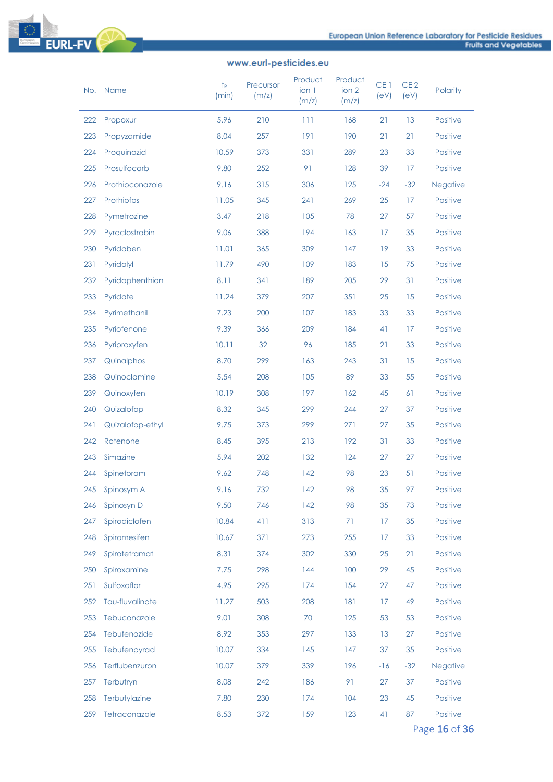

|     | www.eurl-pesticides.eu |                      |                    |                           |                           |                         |                         |                 |  |
|-----|------------------------|----------------------|--------------------|---------------------------|---------------------------|-------------------------|-------------------------|-----------------|--|
|     | No. Name               | $t_{\rm R}$<br>(min) | Precursor<br>(m/z) | Product<br>ion 1<br>(m/z) | Product<br>ion 2<br>(m/z) | CE <sub>1</sub><br>(eV) | CE <sub>2</sub><br>(eV) | Polarity        |  |
| 222 | Propoxur               | 5.96                 | 210                | 111                       | 168                       | 21                      | 13                      | Positive        |  |
| 223 | Propyzamide            | 8.04                 | 257                | 191                       | 190                       | 21                      | 21                      | Positive        |  |
| 224 | Proquinazid            | 10.59                | 373                | 331                       | 289                       | 23                      | 33                      | <b>Positive</b> |  |
| 225 | Prosulfocarb           | 9.80                 | 252                | 91                        | 128                       | 39                      | 17                      | Positive        |  |
| 226 | Prothioconazole        | 9.16                 | 315                | 306                       | 125                       | $-24$                   | $-32$                   | Negative        |  |
| 227 | Prothiofos             | 11.05                | 345                | 241                       | 269                       | 25                      | 17                      | Positive        |  |
| 228 | Pymetrozine            | 3.47                 | 218                | 105                       | 78                        | 27                      | 57                      | Positive        |  |
| 229 | Pyraclostrobin         | 9.06                 | 388                | 194                       | 163                       | 17                      | 35                      | Positive        |  |
| 230 | Pyridaben              | 11.01                | 365                | 309                       | 147                       | 19                      | 33                      | Positive        |  |
| 231 | Pyridalyl              | 11.79                | 490                | 109                       | 183                       | 15                      | 75                      | Positive        |  |
| 232 | Pyridaphenthion        | 8.11                 | 341                | 189                       | 205                       | 29                      | 31                      | Positive        |  |
| 233 | Pyridate               | 11.24                | 379                | 207                       | 351                       | 25                      | 15                      | Positive        |  |
| 234 | Pyrimethanil           | 7.23                 | 200                | 107                       | 183                       | 33                      | 33                      | Positive        |  |
| 235 | Pyriofenone            | 9.39                 | 366                | 209                       | 184                       | 41                      | 17                      | Positive        |  |
| 236 | Pyriproxyfen           | 10.11                | 32                 | 96                        | 185                       | 21                      | 33                      | Positive        |  |
| 237 | Quinalphos             | 8.70                 | 299                | 163                       | 243                       | 31                      | 15                      | <b>Positive</b> |  |
| 238 | Quinoclamine           | 5.54                 | 208                | 105                       | 89                        | 33                      | 55                      | Positive        |  |
| 239 | Quinoxyfen             | 10.19                | 308                | 197                       | 162                       | 45                      | 61                      | <b>Positive</b> |  |
| 240 | Quizalofop             | 8.32                 | 345                | 299                       | 244                       | 27                      | 37                      | Positive        |  |
| 241 | Quizalofop-ethyl       | 9.75                 | 373                | 299                       | 271                       | 27                      | 35                      | Positive        |  |
| 242 | Rotenone               | 8.45                 | 395                | 213                       | 192                       | 31                      | 33                      | Positive        |  |
| 243 | Simazine               | 5.94                 | 202                | 132                       | 124                       | 27                      | 27                      | Positive        |  |
| 244 | Spinetoram             | 9.62                 | 748                | 142                       | 98                        | 23                      | 51                      | Positive        |  |
| 245 | Spinosym A             | 9.16                 | 732                | 142                       | 98                        | 35                      | 97                      | Positive        |  |
| 246 | Spinosyn D             | 9.50                 | 746                | 142                       | 98                        | 35                      | 73                      | Positive        |  |
| 247 | Spirodiclofen          | 10.84                | 411                | 313                       | 71                        | 17                      | 35                      | Positive        |  |
| 248 | Spiromesifen           | 10.67                | 371                | 273                       | 255                       | 17                      | 33                      | Positive        |  |
| 249 | Spirotetramat          | 8.31                 | 374                | 302                       | 330                       | 25                      | 21                      | Positive        |  |
| 250 | Spiroxamine            | 7.75                 | 298                | 144                       | 100                       | 29                      | 45                      | Positive        |  |
| 251 | Sulfoxaflor            | 4.95                 | 295                | 174                       | 154                       | 27                      | 47                      | Positive        |  |
| 252 | Tau-fluvalinate        | 11.27                | 503                | 208                       | 181                       | 17                      | 49                      | Positive        |  |
| 253 | Tebuconazole           | 9.01                 | 308                | 70                        | 125                       | 53                      | 53                      | Positive        |  |
| 254 | Tebufenozide           | 8.92                 | 353                | 297                       | 133                       | 13                      | 27                      | Positive        |  |
| 255 | Tebufenpyrad           | 10.07                | 334                | 145                       | 147                       | 37                      | 35                      | Positive        |  |
| 256 | Terflubenzuron         | 10.07                | 379                | 339                       | 196                       | $-16$                   | $-32$                   | Negative        |  |
| 257 | Terbutryn              | 8.08                 | 242                | 186                       | 91                        | 27                      | 37                      | Positive        |  |
| 258 | Terbutylazine          | 7.80                 | 230                | 174                       | 104                       | 23                      | 45                      | Positive        |  |
| 259 | Tetraconazole          | 8.53                 | 372                | 159                       | 123                       | 41                      | 87                      | Positive        |  |

Page 16 of 36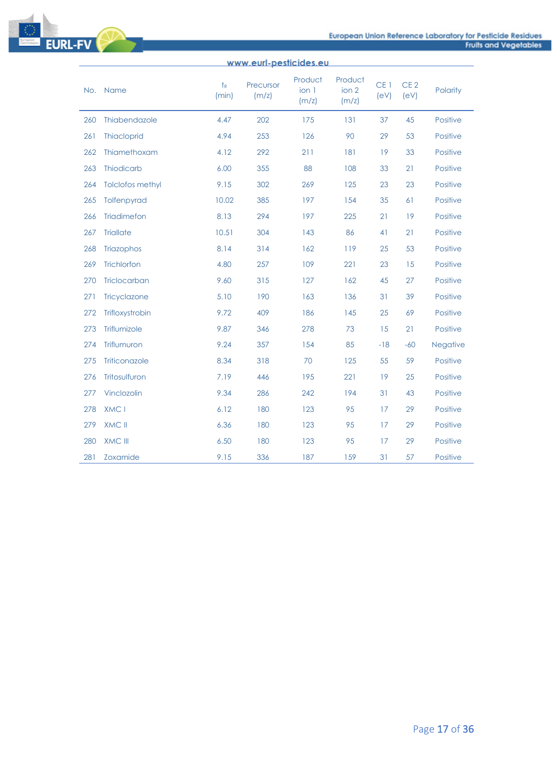

|     | www.eurl-pesticides.eu  |                  |                    |                           |                           |                         |                         |                 |  |
|-----|-------------------------|------------------|--------------------|---------------------------|---------------------------|-------------------------|-------------------------|-----------------|--|
| No. | Name                    | $t_{R}$<br>(min) | Precursor<br>(m/z) | Product<br>ion 1<br>(m/z) | Product<br>ion 2<br>(m/z) | CE <sub>1</sub><br>(eV) | CE <sub>2</sub><br>(eV) | Polarity        |  |
| 260 | Thiabendazole           | 4.47             | 202                | 175                       | 131                       | 37                      | 45                      | Positive        |  |
| 261 | <b>Thiacloprid</b>      | 4.94             | 253                | 126                       | 90                        | 29                      | 53                      | Positive        |  |
| 262 | Thiamethoxam            | 4.12             | 292                | 211                       | 181                       | 19                      | 33                      | Positive        |  |
| 263 | <b>Thiodicarb</b>       | 6.00             | 355                | 88                        | 108                       | 33                      | 21                      | Positive        |  |
| 264 | <b>Tolclofos methyl</b> | 9.15             | 302                | 269                       | 125                       | 23                      | 23                      | Positive        |  |
| 265 | Tolfenpyrad             | 10.02            | 385                | 197                       | 154                       | 35                      | 61                      | Positive        |  |
| 266 | Triadimefon             | 8.13             | 294                | 197                       | 225                       | 21                      | 19                      | Positive        |  |
| 267 | <b>Triallate</b>        | 10.51            | 304                | 143                       | 86                        | 41                      | 21                      | Positive        |  |
| 268 | Triazophos              | 8.14             | 314                | 162                       | 119                       | 25                      | 53                      | Positive        |  |
| 269 | <b>Trichlorfon</b>      | 4.80             | 257                | 109                       | 221                       | 23                      | 15                      | Positive        |  |
| 270 | Triclocarban            | 9.60             | 315                | 127                       | 162                       | 45                      | 27                      | Positive        |  |
| 271 | Tricyclazone            | 5.10             | 190                | 163                       | 136                       | 31                      | 39                      | Positive        |  |
| 272 | Trifloxystrobin         | 9.72             | 409                | 186                       | 145                       | 25                      | 69                      | Positive        |  |
| 273 | Triflumizole            | 9.87             | 346                | 278                       | 73                        | 15                      | 21                      | Positive        |  |
| 274 | Triflumuron             | 9.24             | 357                | 154                       | 85                        | $-18$                   | $-60$                   | <b>Negative</b> |  |
| 275 | Triticonazole           | 8.34             | 318                | 70                        | 125                       | 55                      | 59                      | Positive        |  |
| 276 | Tritosulfuron           | 7.19             | 446                | 195                       | 221                       | 19                      | 25                      | Positive        |  |
| 277 | Vinclozolin             | 9.34             | 286                | 242                       | 194                       | 31                      | 43                      | Positive        |  |
| 278 | XMC I                   | 6.12             | 180                | 123                       | 95                        | 17                      | 29                      | Positive        |  |
| 279 | XMC II                  | 6.36             | 180                | 123                       | 95                        | 17                      | 29                      | Positive        |  |
| 280 | <b>XMC III</b>          | 6.50             | 180                | 123                       | 95                        | 17                      | 29                      | Positive        |  |
| 281 | Zoxamide                | 9.15             | 336                | 187                       | 159                       | 31                      | 57                      | Positive        |  |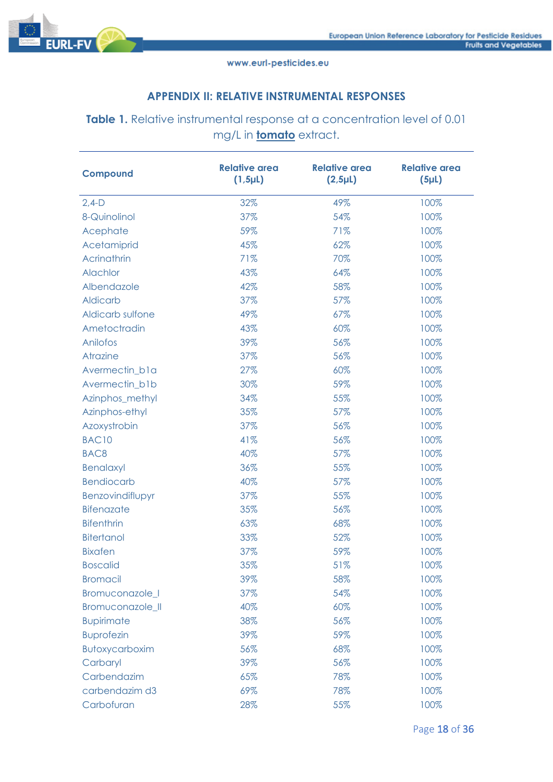

# **APPENDIX II: RELATIVE INSTRUMENTAL RESPONSES**

**Table 1.** Relative instrumental response at a concentration level of 0.01 mg/L in **tomato** extract.

| <b>Compound</b>    | <b>Relative area</b><br>(1, 5µL) | <b>Relative area</b><br>(2, 5µL) | <b>Relative area</b><br>(5 <sub>µ</sub> L) |
|--------------------|----------------------------------|----------------------------------|--------------------------------------------|
| $2,4-D$            | 32%                              | 49%                              | 100%                                       |
| 8-Quinolinol       | 37%                              | 54%                              | 100%                                       |
| Acephate           | 59%                              | 71%                              | 100%                                       |
| Acetamiprid        | 45%                              | 62%                              | 100%                                       |
| <b>Acrinathrin</b> | 71%                              | 70%                              | 100%                                       |
| Alachlor           | 43%                              | 64%                              | 100%                                       |
| Albendazole        | 42%                              | 58%                              | 100%                                       |
| Aldicarb           | 37%                              | 57%                              | 100%                                       |
| Aldicarb sulfone   | 49%                              | 67%                              | 100%                                       |
| Ametoctradin       | 43%                              | 60%                              | 100%                                       |
| Anilofos           | 39%                              | 56%                              | 100%                                       |
| Atrazine           | 37%                              | 56%                              | 100%                                       |
| Avermectin_b1a     | 27%                              | 60%                              | 100%                                       |
| Avermectin_b1b     | 30%                              | 59%                              | 100%                                       |
| Azinphos_methyl    | 34%                              | 55%                              | 100%                                       |
| Azinphos-ethyl     | 35%                              | 57%                              | 100%                                       |
| Azoxystrobin       | 37%                              | 56%                              | 100%                                       |
| <b>BAC10</b>       | 41%                              | 56%                              | 100%                                       |
| BAC <sub>8</sub>   | 40%                              | 57%                              | 100%                                       |
| <b>Benalaxyl</b>   | 36%                              | 55%                              | 100%                                       |
| <b>Bendiocarb</b>  | 40%                              | 57%                              | 100%                                       |
| Benzovindiflupyr   | 37%                              | 55%                              | 100%                                       |
| <b>Bifenazate</b>  | 35%                              | 56%                              | 100%                                       |
| <b>Bifenthrin</b>  | 63%                              | 68%                              | 100%                                       |
| <b>Bitertanol</b>  | 33%                              | 52%                              | 100%                                       |
| <b>Bixafen</b>     | 37%                              | 59%                              | 100%                                       |
| <b>Boscalid</b>    | 35%                              | 51%                              | 100%                                       |
| <b>Bromacil</b>    | 39%                              | 58%                              | 100%                                       |
| Bromuconazole_I    | 37%                              | 54%                              | 100%                                       |
| Bromuconazole_II   | 40%                              | 60%                              | 100%                                       |
| <b>Bupirimate</b>  | 38%                              | 56%                              | 100%                                       |
| <b>Buprofezin</b>  | 39%                              | 59%                              | 100%                                       |
| Butoxycarboxim     | 56%                              | 68%                              | 100%                                       |
| Carbaryl           | 39%                              | 56%                              | 100%                                       |
| Carbendazim        | 65%                              | 78%                              | 100%                                       |
| carbendazim d3     | 69%                              | 78%                              | 100%                                       |
| Carbofuran         | 28%                              | 55%                              | 100%                                       |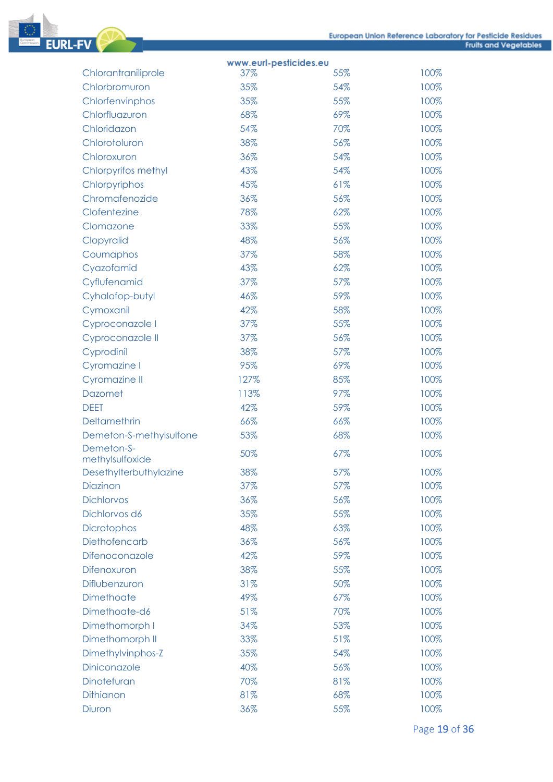

|                         | www.eurl-pesticides.eu |     |      |
|-------------------------|------------------------|-----|------|
| Chlorantraniliprole     | 37%                    | 55% | 100% |
| Chlorbromuron           | 35%                    | 54% | 100% |
| Chlorfenvinphos         | 35%                    | 55% | 100% |
| Chlorfluazuron          | 68%                    | 69% | 100% |
| Chloridazon             | 54%                    | 70% | 100% |
| Chlorotoluron           | 38%                    | 56% | 100% |
| Chloroxuron             | 36%                    | 54% | 100% |
| Chlorpyrifos methyl     | 43%                    | 54% | 100% |
| Chlorpyriphos           | 45%                    | 61% | 100% |
| Chromafenozide          | 36%                    | 56% | 100% |
| Clofentezine            | 78%                    | 62% | 100% |
| Clomazone               | 33%                    | 55% | 100% |
| Clopyralid              | 48%                    | 56% | 100% |
| Coumaphos               | 37%                    | 58% | 100% |
| Cyazofamid              | 43%                    | 62% | 100% |
| Cyflufenamid            | 37%                    | 57% | 100% |
| Cyhalofop-butyl         | 46%                    | 59% | 100% |
| Cymoxanil               | 42%                    | 58% | 100% |
| Cyproconazole I         | 37%                    | 55% | 100% |
| Cyproconazole II        | 37%                    | 56% | 100% |
| Cyprodinil              | 38%                    | 57% | 100% |
| Cyromazine I            | 95%                    | 69% | 100% |
| Cyromazine II           | 127%                   | 85% | 100% |
| Dazomet                 | 113%                   | 97% | 100% |
| <b>DEET</b>             | 42%                    | 59% | 100% |
| Deltamethrin            | 66%                    | 66% | 100% |
| Demeton-S-methylsulfone | 53%                    | 68% | 100% |
| Demeton-S-              | 50%                    | 67% | 100% |
| methylsulfoxide         |                        |     |      |
| Desethylterbuthylazine  | 38%                    | 57% | 100% |
| Diazinon                | 37%                    | 57% | 100% |
| <b>Dichlorvos</b>       | 36%                    | 56% | 100% |
| Dichlorvos d6           | 35%                    | 55% | 100% |
| Dicrotophos             | 48%                    | 63% | 100% |
| Diethofencarb           | 36%                    | 56% | 100% |
| Difenoconazole          | 42%                    | 59% | 100% |
| Difenoxuron             | 38%                    | 55% | 100% |
| Diflubenzuron           | 31%                    | 50% | 100% |
| Dimethoate              | 49%                    | 67% | 100% |
| Dimethoate-d6           | 51%                    | 70% | 100% |
| Dimethomorph I          | 34%                    | 53% | 100% |
| Dimethomorph II         | 33%                    | 51% | 100% |
| Dimethylvinphos-Z       | 35%                    | 54% | 100% |
| Diniconazole            | 40%                    | 56% | 100% |
| Dinotefuran             | 70%                    | 81% | 100% |
| Dithianon               | 81%                    | 68% | 100% |
| Diuron                  | 36%                    | 55% | 100% |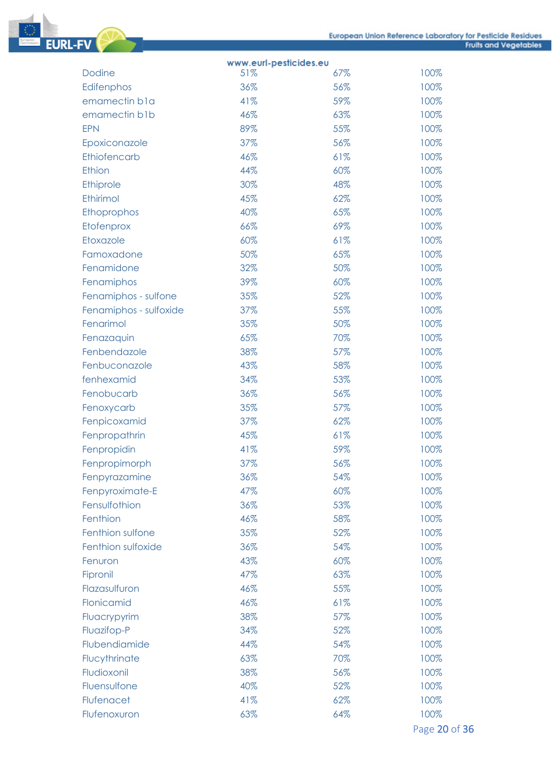|                        | www.eurl-pesticides.eu |     |               |
|------------------------|------------------------|-----|---------------|
| <b>Dodine</b>          | 51%                    | 67% | 100%          |
| Edifenphos             | 36%                    | 56% | 100%          |
| emamectin b1a          | 41%                    | 59% | 100%          |
| emamectin b1b          | 46%                    | 63% | 100%          |
| <b>EPN</b>             | 89%                    | 55% | 100%          |
| Epoxiconazole          | 37%                    | 56% | 100%          |
| Ethiofencarb           | 46%                    | 61% | 100%          |
| Ethion                 | 44%                    | 60% | 100%          |
| Ethiprole              | 30%                    | 48% | 100%          |
| Ethirimol              | 45%                    | 62% | 100%          |
| Ethoprophos            | 40%                    | 65% | 100%          |
| Etofenprox             | 66%                    | 69% | 100%          |
| Etoxazole              | 60%                    | 61% | 100%          |
| Famoxadone             | 50%                    | 65% | 100%          |
| Fenamidone             | 32%                    | 50% | 100%          |
| Fenamiphos             | 39%                    | 60% | 100%          |
| Fenamiphos - sulfone   | 35%                    | 52% | 100%          |
| Fenamiphos - sulfoxide | 37%                    | 55% | 100%          |
| Fenarimol              | 35%                    | 50% | 100%          |
| Fenazaquin             | 65%                    | 70% | 100%          |
| Fenbendazole           | 38%                    | 57% | 100%          |
| Fenbuconazole          | 43%                    | 58% | 100%          |
| fenhexamid             | 34%                    | 53% | 100%          |
| Fenobucarb             | 36%                    | 56% | 100%          |
| Fenoxycarb             | 35%                    | 57% | 100%          |
| Fenpicoxamid           | 37%                    | 62% | 100%          |
| Fenpropathrin          | 45%                    | 61% | 100%          |
| Fenpropidin            | 41%                    | 59% | 100%          |
| Fenpropimorph          | 37%                    | 56% | 100%          |
| Fenpyrazamine          | 36%                    | 54% | 100%          |
| Fenpyroximate-E        | 47%                    | 60% | 100%          |
| Fensulfothion          | 36%                    | 53% | 100%          |
| Fenthion               | 46%                    | 58% | 100%          |
| Fenthion sulfone       | 35%                    | 52% | 100%          |
| Fenthion sulfoxide     | 36%                    | 54% | 100%          |
| Fenuron                | 43%                    | 60% | 100%          |
| Fipronil               | 47%                    | 63% | 100%          |
| Flazasulfuron          | 46%                    | 55% | 100%          |
| Flonicamid             | 46%                    | 61% | 100%          |
| Fluacrypyrim           | 38%                    | 57% | 100%          |
| Fluazifop-P            | 34%                    | 52% | 100%          |
| Flubendiamide          | 44%                    | 54% | 100%          |
| Flucythrinate          | 63%                    | 70% | 100%          |
| Fludioxonil            | 38%                    | 56% | 100%          |
| Fluensulfone           | 40%                    | 52% | 100%          |
| Flufenacet             | 41%                    | 62% | 100%          |
| Flufenoxuron           | 63%                    | 64% | 100%          |
|                        |                        |     | Page 20 of 36 |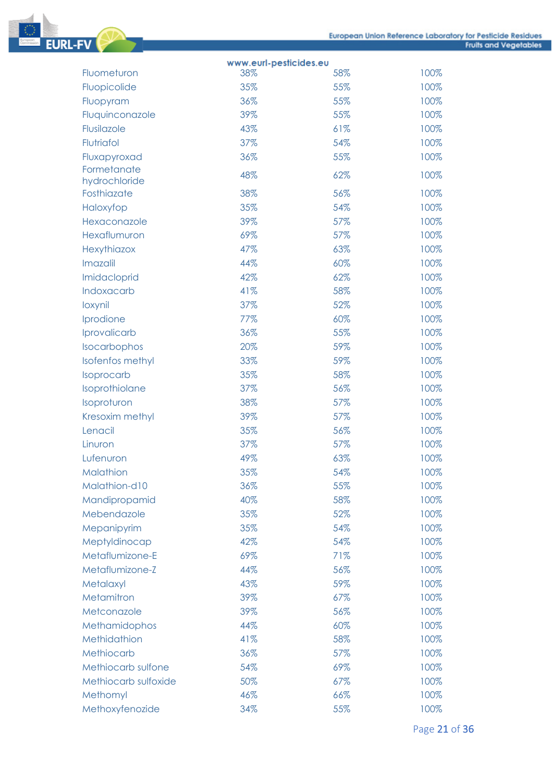

|                              | www.eurl-pesticides.eu |     |      |
|------------------------------|------------------------|-----|------|
| Fluometuron                  | 38%                    | 58% | 100% |
| Fluopicolide                 | 35%                    | 55% | 100% |
| Fluopyram                    | 36%                    | 55% | 100% |
| Fluquinconazole              | 39%                    | 55% | 100% |
| Flusilazole                  | 43%                    | 61% | 100% |
| Flutriafol                   | 37%                    | 54% | 100% |
| Fluxapyroxad                 | 36%                    | 55% | 100% |
| Formetanate<br>hydrochloride | 48%                    | 62% | 100% |
| Fosthiazate                  | 38%                    | 56% | 100% |
| Haloxyfop                    | 35%                    | 54% | 100% |
| Hexaconazole                 | 39%                    | 57% | 100% |
| Hexaflumuron                 | 69%                    | 57% | 100% |
| <b>Hexythiazox</b>           | 47%                    | 63% | 100% |
| Imazalil                     | 44%                    | 60% | 100% |
| Imidacloprid                 | 42%                    | 62% | 100% |
| Indoxacarb                   | 41%                    | 58% | 100% |
| loxynil                      | 37%                    | 52% | 100% |
| Iprodione                    | 77%                    | 60% | 100% |
| Iprovalicarb                 | 36%                    | 55% | 100% |
| Isocarbophos                 | 20%                    | 59% | 100% |
| <b>Isofenfos methyl</b>      | 33%                    | 59% | 100% |
| Isoprocarb                   | 35%                    | 58% | 100% |
| Isoprothiolane               | 37%                    | 56% | 100% |
| Isoproturon                  | 38%                    | 57% | 100% |
| Kresoxim methyl              | 39%                    | 57% | 100% |
| Lenacil                      | 35%                    | 56% | 100% |
| Linuron                      | 37%                    | 57% | 100% |
| Lufenuron                    | 49%                    | 63% | 100% |
| Malathion                    | 35%                    | 54% | 100% |
| Malathion-d10                | 36%                    | 55% | 100% |
| Mandipropamid                | 40%                    | 58% | 100% |
| Mebendazole                  | 35%                    | 52% | 100% |
| Mepanipyrim                  | 35%                    | 54% | 100% |
| Meptyldinocap                | 42%                    | 54% | 100% |
| Metaflumizone-E              | 69%                    | 71% | 100% |
| Metaflumizone-Z              | 44%                    | 56% | 100% |
| Metalaxyl                    | 43%                    | 59% | 100% |
| Metamitron                   | 39%                    | 67% | 100% |
| Metconazole                  | 39%                    | 56% | 100% |
| Methamidophos                | 44%                    | 60% | 100% |
| Methidathion                 | 41%                    | 58% | 100% |
| Methiocarb                   | 36%                    | 57% | 100% |
| Methiocarb sulfone           | 54%                    | 69% | 100% |
| Methiocarb sulfoxide         | 50%                    | 67% | 100% |
| Methomyl                     | 46%                    | 66% | 100% |
| Methoxyfenozide              | 34%                    | 55% | 100% |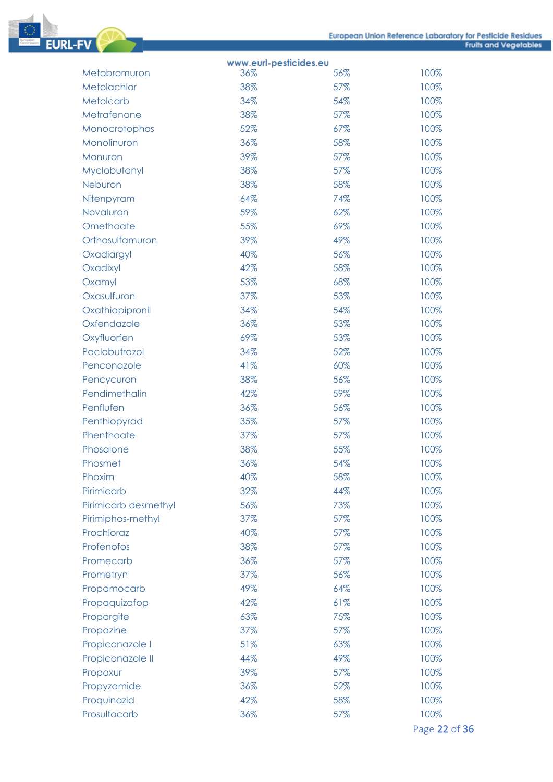

| Metolachlor<br>38%<br>57%<br>100%<br>Metolcarb<br>34%<br>54%<br>100%<br>Metrafenone<br>38%<br>57%<br>100%<br>52%<br>100%<br>Monocrotophos<br>67%<br>Monolinuron<br>36%<br>58%<br>100%<br>Monuron<br>39%<br>57%<br>100%<br>Myclobutanyl<br>38%<br>57%<br>100%<br>100%<br>Neburon<br>38%<br>58%<br>64%<br>74%<br>100%<br>Nitenpyram<br>Novaluron<br>59%<br>62%<br>100%<br>Omethoate<br>55%<br>69%<br>100%<br>Orthosulfamuron<br>100%<br>39%<br>49%<br>Oxadiargyl<br>40%<br>56%<br>100%<br>42%<br>Oxadixyl<br>58%<br>100%<br>Oxamyl<br>53%<br>68%<br>100%<br>Oxasulfuron<br>53%<br>100%<br>37%<br>Oxathiapipronil<br>34%<br>54%<br>100%<br>Oxfendazole<br>36%<br>53%<br>100%<br>Oxyfluorfen<br>69%<br>53%<br>100%<br>Paclobutrazol<br>52%<br>100%<br>34%<br>Penconazole<br>41%<br>60%<br>100%<br>38%<br>56%<br>100%<br>Pencycuron<br>Pendimethalin<br>42%<br>59%<br>100%<br>Penflufen<br>36%<br>56%<br>100%<br>Penthiopyrad<br>35%<br>57%<br>100%<br>Phenthoate<br>37%<br>57%<br>100%<br>Phosalone<br>38%<br>55%<br>100%<br>Phosmet<br>54%<br>100%<br>36%<br>58%<br>40%<br>100%<br>Phoxim<br>Pirimicarb<br>32%<br>44%<br>100%<br>Pirimicarb desmethyl<br>56%<br>73%<br>100%<br>Pirimiphos-methyl<br>37%<br>57%<br>100%<br>Prochloraz<br>40%<br>100%<br>57%<br>Profenofos<br>38%<br>57%<br>100%<br>Promecarb<br>36%<br>100%<br>57%<br>Prometryn<br>37%<br>56%<br>100%<br>49%<br>64%<br>100%<br>Propamocarb<br>42%<br>61%<br>100%<br>Propaquizafop<br>Propargite<br>63%<br>75%<br>100%<br>37%<br>57%<br>100%<br>Propazine<br>51%<br>100%<br>Propiconazole I<br>63%<br>44%<br>49%<br>100%<br>Propiconazole II<br>39%<br>57%<br>100%<br>Propoxur<br>52%<br>100%<br>Propyzamide<br>36%<br>Proquinazid<br>42%<br>100%<br>58%<br>Prosulfocarb<br>100%<br>36%<br>57% |              | www.eurl-pesticides.eu |     |      |
|-----------------------------------------------------------------------------------------------------------------------------------------------------------------------------------------------------------------------------------------------------------------------------------------------------------------------------------------------------------------------------------------------------------------------------------------------------------------------------------------------------------------------------------------------------------------------------------------------------------------------------------------------------------------------------------------------------------------------------------------------------------------------------------------------------------------------------------------------------------------------------------------------------------------------------------------------------------------------------------------------------------------------------------------------------------------------------------------------------------------------------------------------------------------------------------------------------------------------------------------------------------------------------------------------------------------------------------------------------------------------------------------------------------------------------------------------------------------------------------------------------------------------------------------------------------------------------------------------------------------------------------------------------------------------------------------------------------------------------------------------------------|--------------|------------------------|-----|------|
|                                                                                                                                                                                                                                                                                                                                                                                                                                                                                                                                                                                                                                                                                                                                                                                                                                                                                                                                                                                                                                                                                                                                                                                                                                                                                                                                                                                                                                                                                                                                                                                                                                                                                                                                                           | Metobromuron | 36%                    | 56% | 100% |
|                                                                                                                                                                                                                                                                                                                                                                                                                                                                                                                                                                                                                                                                                                                                                                                                                                                                                                                                                                                                                                                                                                                                                                                                                                                                                                                                                                                                                                                                                                                                                                                                                                                                                                                                                           |              |                        |     |      |
|                                                                                                                                                                                                                                                                                                                                                                                                                                                                                                                                                                                                                                                                                                                                                                                                                                                                                                                                                                                                                                                                                                                                                                                                                                                                                                                                                                                                                                                                                                                                                                                                                                                                                                                                                           |              |                        |     |      |
|                                                                                                                                                                                                                                                                                                                                                                                                                                                                                                                                                                                                                                                                                                                                                                                                                                                                                                                                                                                                                                                                                                                                                                                                                                                                                                                                                                                                                                                                                                                                                                                                                                                                                                                                                           |              |                        |     |      |
|                                                                                                                                                                                                                                                                                                                                                                                                                                                                                                                                                                                                                                                                                                                                                                                                                                                                                                                                                                                                                                                                                                                                                                                                                                                                                                                                                                                                                                                                                                                                                                                                                                                                                                                                                           |              |                        |     |      |
|                                                                                                                                                                                                                                                                                                                                                                                                                                                                                                                                                                                                                                                                                                                                                                                                                                                                                                                                                                                                                                                                                                                                                                                                                                                                                                                                                                                                                                                                                                                                                                                                                                                                                                                                                           |              |                        |     |      |
|                                                                                                                                                                                                                                                                                                                                                                                                                                                                                                                                                                                                                                                                                                                                                                                                                                                                                                                                                                                                                                                                                                                                                                                                                                                                                                                                                                                                                                                                                                                                                                                                                                                                                                                                                           |              |                        |     |      |
|                                                                                                                                                                                                                                                                                                                                                                                                                                                                                                                                                                                                                                                                                                                                                                                                                                                                                                                                                                                                                                                                                                                                                                                                                                                                                                                                                                                                                                                                                                                                                                                                                                                                                                                                                           |              |                        |     |      |
|                                                                                                                                                                                                                                                                                                                                                                                                                                                                                                                                                                                                                                                                                                                                                                                                                                                                                                                                                                                                                                                                                                                                                                                                                                                                                                                                                                                                                                                                                                                                                                                                                                                                                                                                                           |              |                        |     |      |
|                                                                                                                                                                                                                                                                                                                                                                                                                                                                                                                                                                                                                                                                                                                                                                                                                                                                                                                                                                                                                                                                                                                                                                                                                                                                                                                                                                                                                                                                                                                                                                                                                                                                                                                                                           |              |                        |     |      |
|                                                                                                                                                                                                                                                                                                                                                                                                                                                                                                                                                                                                                                                                                                                                                                                                                                                                                                                                                                                                                                                                                                                                                                                                                                                                                                                                                                                                                                                                                                                                                                                                                                                                                                                                                           |              |                        |     |      |
|                                                                                                                                                                                                                                                                                                                                                                                                                                                                                                                                                                                                                                                                                                                                                                                                                                                                                                                                                                                                                                                                                                                                                                                                                                                                                                                                                                                                                                                                                                                                                                                                                                                                                                                                                           |              |                        |     |      |
|                                                                                                                                                                                                                                                                                                                                                                                                                                                                                                                                                                                                                                                                                                                                                                                                                                                                                                                                                                                                                                                                                                                                                                                                                                                                                                                                                                                                                                                                                                                                                                                                                                                                                                                                                           |              |                        |     |      |
|                                                                                                                                                                                                                                                                                                                                                                                                                                                                                                                                                                                                                                                                                                                                                                                                                                                                                                                                                                                                                                                                                                                                                                                                                                                                                                                                                                                                                                                                                                                                                                                                                                                                                                                                                           |              |                        |     |      |
|                                                                                                                                                                                                                                                                                                                                                                                                                                                                                                                                                                                                                                                                                                                                                                                                                                                                                                                                                                                                                                                                                                                                                                                                                                                                                                                                                                                                                                                                                                                                                                                                                                                                                                                                                           |              |                        |     |      |
|                                                                                                                                                                                                                                                                                                                                                                                                                                                                                                                                                                                                                                                                                                                                                                                                                                                                                                                                                                                                                                                                                                                                                                                                                                                                                                                                                                                                                                                                                                                                                                                                                                                                                                                                                           |              |                        |     |      |
|                                                                                                                                                                                                                                                                                                                                                                                                                                                                                                                                                                                                                                                                                                                                                                                                                                                                                                                                                                                                                                                                                                                                                                                                                                                                                                                                                                                                                                                                                                                                                                                                                                                                                                                                                           |              |                        |     |      |
|                                                                                                                                                                                                                                                                                                                                                                                                                                                                                                                                                                                                                                                                                                                                                                                                                                                                                                                                                                                                                                                                                                                                                                                                                                                                                                                                                                                                                                                                                                                                                                                                                                                                                                                                                           |              |                        |     |      |
|                                                                                                                                                                                                                                                                                                                                                                                                                                                                                                                                                                                                                                                                                                                                                                                                                                                                                                                                                                                                                                                                                                                                                                                                                                                                                                                                                                                                                                                                                                                                                                                                                                                                                                                                                           |              |                        |     |      |
|                                                                                                                                                                                                                                                                                                                                                                                                                                                                                                                                                                                                                                                                                                                                                                                                                                                                                                                                                                                                                                                                                                                                                                                                                                                                                                                                                                                                                                                                                                                                                                                                                                                                                                                                                           |              |                        |     |      |
|                                                                                                                                                                                                                                                                                                                                                                                                                                                                                                                                                                                                                                                                                                                                                                                                                                                                                                                                                                                                                                                                                                                                                                                                                                                                                                                                                                                                                                                                                                                                                                                                                                                                                                                                                           |              |                        |     |      |
|                                                                                                                                                                                                                                                                                                                                                                                                                                                                                                                                                                                                                                                                                                                                                                                                                                                                                                                                                                                                                                                                                                                                                                                                                                                                                                                                                                                                                                                                                                                                                                                                                                                                                                                                                           |              |                        |     |      |
|                                                                                                                                                                                                                                                                                                                                                                                                                                                                                                                                                                                                                                                                                                                                                                                                                                                                                                                                                                                                                                                                                                                                                                                                                                                                                                                                                                                                                                                                                                                                                                                                                                                                                                                                                           |              |                        |     |      |
|                                                                                                                                                                                                                                                                                                                                                                                                                                                                                                                                                                                                                                                                                                                                                                                                                                                                                                                                                                                                                                                                                                                                                                                                                                                                                                                                                                                                                                                                                                                                                                                                                                                                                                                                                           |              |                        |     |      |
|                                                                                                                                                                                                                                                                                                                                                                                                                                                                                                                                                                                                                                                                                                                                                                                                                                                                                                                                                                                                                                                                                                                                                                                                                                                                                                                                                                                                                                                                                                                                                                                                                                                                                                                                                           |              |                        |     |      |
|                                                                                                                                                                                                                                                                                                                                                                                                                                                                                                                                                                                                                                                                                                                                                                                                                                                                                                                                                                                                                                                                                                                                                                                                                                                                                                                                                                                                                                                                                                                                                                                                                                                                                                                                                           |              |                        |     |      |
|                                                                                                                                                                                                                                                                                                                                                                                                                                                                                                                                                                                                                                                                                                                                                                                                                                                                                                                                                                                                                                                                                                                                                                                                                                                                                                                                                                                                                                                                                                                                                                                                                                                                                                                                                           |              |                        |     |      |
|                                                                                                                                                                                                                                                                                                                                                                                                                                                                                                                                                                                                                                                                                                                                                                                                                                                                                                                                                                                                                                                                                                                                                                                                                                                                                                                                                                                                                                                                                                                                                                                                                                                                                                                                                           |              |                        |     |      |
|                                                                                                                                                                                                                                                                                                                                                                                                                                                                                                                                                                                                                                                                                                                                                                                                                                                                                                                                                                                                                                                                                                                                                                                                                                                                                                                                                                                                                                                                                                                                                                                                                                                                                                                                                           |              |                        |     |      |
|                                                                                                                                                                                                                                                                                                                                                                                                                                                                                                                                                                                                                                                                                                                                                                                                                                                                                                                                                                                                                                                                                                                                                                                                                                                                                                                                                                                                                                                                                                                                                                                                                                                                                                                                                           |              |                        |     |      |
|                                                                                                                                                                                                                                                                                                                                                                                                                                                                                                                                                                                                                                                                                                                                                                                                                                                                                                                                                                                                                                                                                                                                                                                                                                                                                                                                                                                                                                                                                                                                                                                                                                                                                                                                                           |              |                        |     |      |
|                                                                                                                                                                                                                                                                                                                                                                                                                                                                                                                                                                                                                                                                                                                                                                                                                                                                                                                                                                                                                                                                                                                                                                                                                                                                                                                                                                                                                                                                                                                                                                                                                                                                                                                                                           |              |                        |     |      |
|                                                                                                                                                                                                                                                                                                                                                                                                                                                                                                                                                                                                                                                                                                                                                                                                                                                                                                                                                                                                                                                                                                                                                                                                                                                                                                                                                                                                                                                                                                                                                                                                                                                                                                                                                           |              |                        |     |      |
|                                                                                                                                                                                                                                                                                                                                                                                                                                                                                                                                                                                                                                                                                                                                                                                                                                                                                                                                                                                                                                                                                                                                                                                                                                                                                                                                                                                                                                                                                                                                                                                                                                                                                                                                                           |              |                        |     |      |
|                                                                                                                                                                                                                                                                                                                                                                                                                                                                                                                                                                                                                                                                                                                                                                                                                                                                                                                                                                                                                                                                                                                                                                                                                                                                                                                                                                                                                                                                                                                                                                                                                                                                                                                                                           |              |                        |     |      |
|                                                                                                                                                                                                                                                                                                                                                                                                                                                                                                                                                                                                                                                                                                                                                                                                                                                                                                                                                                                                                                                                                                                                                                                                                                                                                                                                                                                                                                                                                                                                                                                                                                                                                                                                                           |              |                        |     |      |
|                                                                                                                                                                                                                                                                                                                                                                                                                                                                                                                                                                                                                                                                                                                                                                                                                                                                                                                                                                                                                                                                                                                                                                                                                                                                                                                                                                                                                                                                                                                                                                                                                                                                                                                                                           |              |                        |     |      |
|                                                                                                                                                                                                                                                                                                                                                                                                                                                                                                                                                                                                                                                                                                                                                                                                                                                                                                                                                                                                                                                                                                                                                                                                                                                                                                                                                                                                                                                                                                                                                                                                                                                                                                                                                           |              |                        |     |      |
|                                                                                                                                                                                                                                                                                                                                                                                                                                                                                                                                                                                                                                                                                                                                                                                                                                                                                                                                                                                                                                                                                                                                                                                                                                                                                                                                                                                                                                                                                                                                                                                                                                                                                                                                                           |              |                        |     |      |
|                                                                                                                                                                                                                                                                                                                                                                                                                                                                                                                                                                                                                                                                                                                                                                                                                                                                                                                                                                                                                                                                                                                                                                                                                                                                                                                                                                                                                                                                                                                                                                                                                                                                                                                                                           |              |                        |     |      |
|                                                                                                                                                                                                                                                                                                                                                                                                                                                                                                                                                                                                                                                                                                                                                                                                                                                                                                                                                                                                                                                                                                                                                                                                                                                                                                                                                                                                                                                                                                                                                                                                                                                                                                                                                           |              |                        |     |      |
|                                                                                                                                                                                                                                                                                                                                                                                                                                                                                                                                                                                                                                                                                                                                                                                                                                                                                                                                                                                                                                                                                                                                                                                                                                                                                                                                                                                                                                                                                                                                                                                                                                                                                                                                                           |              |                        |     |      |
|                                                                                                                                                                                                                                                                                                                                                                                                                                                                                                                                                                                                                                                                                                                                                                                                                                                                                                                                                                                                                                                                                                                                                                                                                                                                                                                                                                                                                                                                                                                                                                                                                                                                                                                                                           |              |                        |     |      |
|                                                                                                                                                                                                                                                                                                                                                                                                                                                                                                                                                                                                                                                                                                                                                                                                                                                                                                                                                                                                                                                                                                                                                                                                                                                                                                                                                                                                                                                                                                                                                                                                                                                                                                                                                           |              |                        |     |      |
|                                                                                                                                                                                                                                                                                                                                                                                                                                                                                                                                                                                                                                                                                                                                                                                                                                                                                                                                                                                                                                                                                                                                                                                                                                                                                                                                                                                                                                                                                                                                                                                                                                                                                                                                                           |              |                        |     |      |
|                                                                                                                                                                                                                                                                                                                                                                                                                                                                                                                                                                                                                                                                                                                                                                                                                                                                                                                                                                                                                                                                                                                                                                                                                                                                                                                                                                                                                                                                                                                                                                                                                                                                                                                                                           |              |                        |     |      |
|                                                                                                                                                                                                                                                                                                                                                                                                                                                                                                                                                                                                                                                                                                                                                                                                                                                                                                                                                                                                                                                                                                                                                                                                                                                                                                                                                                                                                                                                                                                                                                                                                                                                                                                                                           |              |                        |     |      |
|                                                                                                                                                                                                                                                                                                                                                                                                                                                                                                                                                                                                                                                                                                                                                                                                                                                                                                                                                                                                                                                                                                                                                                                                                                                                                                                                                                                                                                                                                                                                                                                                                                                                                                                                                           |              |                        |     |      |
|                                                                                                                                                                                                                                                                                                                                                                                                                                                                                                                                                                                                                                                                                                                                                                                                                                                                                                                                                                                                                                                                                                                                                                                                                                                                                                                                                                                                                                                                                                                                                                                                                                                                                                                                                           |              |                        |     |      |
|                                                                                                                                                                                                                                                                                                                                                                                                                                                                                                                                                                                                                                                                                                                                                                                                                                                                                                                                                                                                                                                                                                                                                                                                                                                                                                                                                                                                                                                                                                                                                                                                                                                                                                                                                           |              |                        |     |      |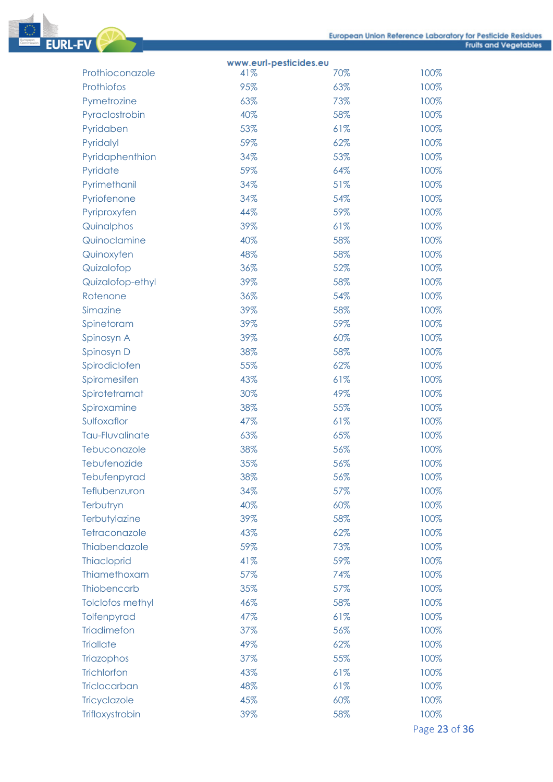

| 100%<br>Prothioconazole<br>70%<br>Prothiofos<br>95%<br>63%<br>100%<br>Pymetrozine<br>63%<br>100%<br>73%<br>Pyraclostrobin<br>40%<br>58%<br>100%<br>Pyridaben<br>53%<br>61%<br>100%<br>Pyridalyl<br>59%<br>62%<br>100%<br>Pyridaphenthion<br>34%<br>53%<br>100%<br>Pyridate<br>59%<br>100%<br>64%<br>Pyrimethanil<br>34%<br>51%<br>100%<br>100%<br>Pyriofenone<br>34%<br>54%<br>Pyriproxyfen<br>44%<br>59%<br>100%<br>39%<br>100%<br>Quinalphos<br>61%<br>Quinoclamine<br>40%<br>58%<br>100%<br>48%<br>58%<br>100%<br>Quinoxyfen<br>Quizalofop<br>36%<br>52%<br>100%<br>Quizalofop-ethyl<br>39%<br>58%<br>100%<br>Rotenone<br>36%<br>100%<br>54%<br>Simazine<br>39%<br>58%<br>100%<br>Spinetoram<br>39%<br>59%<br>100%<br>39%<br>60%<br>100%<br>Spinosyn A<br>38%<br>58%<br>100%<br>Spinosyn D<br>Spirodiclofen<br>55%<br>62%<br>100%<br>Spiromesifen<br>43%<br>61%<br>100%<br>Spirotetramat<br>30%<br>49%<br>100%<br>Spiroxamine<br>38%<br>55%<br>100%<br>Sulfoxaflor<br>47%<br>61%<br>100%<br><b>Tau-Fluvalinate</b><br>63%<br>65%<br>100%<br>Tebuconazole<br>38%<br>100%<br>56%<br>Tebufenozide<br>35%<br>56%<br>100%<br>38%<br>56%<br>100%<br>Tebufenpyrad<br>34%<br>100%<br>Teflubenzuron<br>57%<br>40%<br>60%<br>Terbutryn<br>100%<br>Terbutylazine<br>39%<br>58%<br>100%<br>Tetraconazole<br>43%<br>62%<br>100%<br>Thiabendazole<br>59%<br>73%<br>100%<br><b>Thiacloprid</b><br>41%<br>59%<br>100%<br>Thiamethoxam<br>57%<br>100%<br>74%<br>Thiobencarb<br>35%<br>100%<br>57%<br><b>Tolclofos methyl</b><br>46%<br>58%<br>100%<br>Tolfenpyrad<br>47%<br>61%<br>100%<br>Triadimefon<br>37%<br>56%<br>100%<br><b>Triallate</b><br>49%<br>62%<br>100%<br>37%<br>55%<br>100%<br>Triazophos<br><b>Trichlorfon</b><br>43%<br>61%<br>100%<br>Triclocarban<br>48%<br>100%<br>61%<br>Tricyclazole<br>45%<br>60%<br>100%<br>Trifloxystrobin<br>39%<br>58%<br>100% | www.eurl-pesticides.eu |  |               |  |  |  |
|---------------------------------------------------------------------------------------------------------------------------------------------------------------------------------------------------------------------------------------------------------------------------------------------------------------------------------------------------------------------------------------------------------------------------------------------------------------------------------------------------------------------------------------------------------------------------------------------------------------------------------------------------------------------------------------------------------------------------------------------------------------------------------------------------------------------------------------------------------------------------------------------------------------------------------------------------------------------------------------------------------------------------------------------------------------------------------------------------------------------------------------------------------------------------------------------------------------------------------------------------------------------------------------------------------------------------------------------------------------------------------------------------------------------------------------------------------------------------------------------------------------------------------------------------------------------------------------------------------------------------------------------------------------------------------------------------------------------------------------------------------------------------------------------------------------------------------------------------------------|------------------------|--|---------------|--|--|--|
|                                                                                                                                                                                                                                                                                                                                                                                                                                                                                                                                                                                                                                                                                                                                                                                                                                                                                                                                                                                                                                                                                                                                                                                                                                                                                                                                                                                                                                                                                                                                                                                                                                                                                                                                                                                                                                                               | 41%                    |  |               |  |  |  |
|                                                                                                                                                                                                                                                                                                                                                                                                                                                                                                                                                                                                                                                                                                                                                                                                                                                                                                                                                                                                                                                                                                                                                                                                                                                                                                                                                                                                                                                                                                                                                                                                                                                                                                                                                                                                                                                               |                        |  |               |  |  |  |
|                                                                                                                                                                                                                                                                                                                                                                                                                                                                                                                                                                                                                                                                                                                                                                                                                                                                                                                                                                                                                                                                                                                                                                                                                                                                                                                                                                                                                                                                                                                                                                                                                                                                                                                                                                                                                                                               |                        |  |               |  |  |  |
|                                                                                                                                                                                                                                                                                                                                                                                                                                                                                                                                                                                                                                                                                                                                                                                                                                                                                                                                                                                                                                                                                                                                                                                                                                                                                                                                                                                                                                                                                                                                                                                                                                                                                                                                                                                                                                                               |                        |  |               |  |  |  |
|                                                                                                                                                                                                                                                                                                                                                                                                                                                                                                                                                                                                                                                                                                                                                                                                                                                                                                                                                                                                                                                                                                                                                                                                                                                                                                                                                                                                                                                                                                                                                                                                                                                                                                                                                                                                                                                               |                        |  |               |  |  |  |
|                                                                                                                                                                                                                                                                                                                                                                                                                                                                                                                                                                                                                                                                                                                                                                                                                                                                                                                                                                                                                                                                                                                                                                                                                                                                                                                                                                                                                                                                                                                                                                                                                                                                                                                                                                                                                                                               |                        |  |               |  |  |  |
|                                                                                                                                                                                                                                                                                                                                                                                                                                                                                                                                                                                                                                                                                                                                                                                                                                                                                                                                                                                                                                                                                                                                                                                                                                                                                                                                                                                                                                                                                                                                                                                                                                                                                                                                                                                                                                                               |                        |  |               |  |  |  |
|                                                                                                                                                                                                                                                                                                                                                                                                                                                                                                                                                                                                                                                                                                                                                                                                                                                                                                                                                                                                                                                                                                                                                                                                                                                                                                                                                                                                                                                                                                                                                                                                                                                                                                                                                                                                                                                               |                        |  |               |  |  |  |
|                                                                                                                                                                                                                                                                                                                                                                                                                                                                                                                                                                                                                                                                                                                                                                                                                                                                                                                                                                                                                                                                                                                                                                                                                                                                                                                                                                                                                                                                                                                                                                                                                                                                                                                                                                                                                                                               |                        |  |               |  |  |  |
|                                                                                                                                                                                                                                                                                                                                                                                                                                                                                                                                                                                                                                                                                                                                                                                                                                                                                                                                                                                                                                                                                                                                                                                                                                                                                                                                                                                                                                                                                                                                                                                                                                                                                                                                                                                                                                                               |                        |  |               |  |  |  |
|                                                                                                                                                                                                                                                                                                                                                                                                                                                                                                                                                                                                                                                                                                                                                                                                                                                                                                                                                                                                                                                                                                                                                                                                                                                                                                                                                                                                                                                                                                                                                                                                                                                                                                                                                                                                                                                               |                        |  |               |  |  |  |
|                                                                                                                                                                                                                                                                                                                                                                                                                                                                                                                                                                                                                                                                                                                                                                                                                                                                                                                                                                                                                                                                                                                                                                                                                                                                                                                                                                                                                                                                                                                                                                                                                                                                                                                                                                                                                                                               |                        |  |               |  |  |  |
|                                                                                                                                                                                                                                                                                                                                                                                                                                                                                                                                                                                                                                                                                                                                                                                                                                                                                                                                                                                                                                                                                                                                                                                                                                                                                                                                                                                                                                                                                                                                                                                                                                                                                                                                                                                                                                                               |                        |  |               |  |  |  |
|                                                                                                                                                                                                                                                                                                                                                                                                                                                                                                                                                                                                                                                                                                                                                                                                                                                                                                                                                                                                                                                                                                                                                                                                                                                                                                                                                                                                                                                                                                                                                                                                                                                                                                                                                                                                                                                               |                        |  |               |  |  |  |
|                                                                                                                                                                                                                                                                                                                                                                                                                                                                                                                                                                                                                                                                                                                                                                                                                                                                                                                                                                                                                                                                                                                                                                                                                                                                                                                                                                                                                                                                                                                                                                                                                                                                                                                                                                                                                                                               |                        |  |               |  |  |  |
|                                                                                                                                                                                                                                                                                                                                                                                                                                                                                                                                                                                                                                                                                                                                                                                                                                                                                                                                                                                                                                                                                                                                                                                                                                                                                                                                                                                                                                                                                                                                                                                                                                                                                                                                                                                                                                                               |                        |  |               |  |  |  |
|                                                                                                                                                                                                                                                                                                                                                                                                                                                                                                                                                                                                                                                                                                                                                                                                                                                                                                                                                                                                                                                                                                                                                                                                                                                                                                                                                                                                                                                                                                                                                                                                                                                                                                                                                                                                                                                               |                        |  |               |  |  |  |
|                                                                                                                                                                                                                                                                                                                                                                                                                                                                                                                                                                                                                                                                                                                                                                                                                                                                                                                                                                                                                                                                                                                                                                                                                                                                                                                                                                                                                                                                                                                                                                                                                                                                                                                                                                                                                                                               |                        |  |               |  |  |  |
|                                                                                                                                                                                                                                                                                                                                                                                                                                                                                                                                                                                                                                                                                                                                                                                                                                                                                                                                                                                                                                                                                                                                                                                                                                                                                                                                                                                                                                                                                                                                                                                                                                                                                                                                                                                                                                                               |                        |  |               |  |  |  |
|                                                                                                                                                                                                                                                                                                                                                                                                                                                                                                                                                                                                                                                                                                                                                                                                                                                                                                                                                                                                                                                                                                                                                                                                                                                                                                                                                                                                                                                                                                                                                                                                                                                                                                                                                                                                                                                               |                        |  |               |  |  |  |
|                                                                                                                                                                                                                                                                                                                                                                                                                                                                                                                                                                                                                                                                                                                                                                                                                                                                                                                                                                                                                                                                                                                                                                                                                                                                                                                                                                                                                                                                                                                                                                                                                                                                                                                                                                                                                                                               |                        |  |               |  |  |  |
|                                                                                                                                                                                                                                                                                                                                                                                                                                                                                                                                                                                                                                                                                                                                                                                                                                                                                                                                                                                                                                                                                                                                                                                                                                                                                                                                                                                                                                                                                                                                                                                                                                                                                                                                                                                                                                                               |                        |  |               |  |  |  |
|                                                                                                                                                                                                                                                                                                                                                                                                                                                                                                                                                                                                                                                                                                                                                                                                                                                                                                                                                                                                                                                                                                                                                                                                                                                                                                                                                                                                                                                                                                                                                                                                                                                                                                                                                                                                                                                               |                        |  |               |  |  |  |
|                                                                                                                                                                                                                                                                                                                                                                                                                                                                                                                                                                                                                                                                                                                                                                                                                                                                                                                                                                                                                                                                                                                                                                                                                                                                                                                                                                                                                                                                                                                                                                                                                                                                                                                                                                                                                                                               |                        |  |               |  |  |  |
|                                                                                                                                                                                                                                                                                                                                                                                                                                                                                                                                                                                                                                                                                                                                                                                                                                                                                                                                                                                                                                                                                                                                                                                                                                                                                                                                                                                                                                                                                                                                                                                                                                                                                                                                                                                                                                                               |                        |  |               |  |  |  |
|                                                                                                                                                                                                                                                                                                                                                                                                                                                                                                                                                                                                                                                                                                                                                                                                                                                                                                                                                                                                                                                                                                                                                                                                                                                                                                                                                                                                                                                                                                                                                                                                                                                                                                                                                                                                                                                               |                        |  |               |  |  |  |
|                                                                                                                                                                                                                                                                                                                                                                                                                                                                                                                                                                                                                                                                                                                                                                                                                                                                                                                                                                                                                                                                                                                                                                                                                                                                                                                                                                                                                                                                                                                                                                                                                                                                                                                                                                                                                                                               |                        |  |               |  |  |  |
|                                                                                                                                                                                                                                                                                                                                                                                                                                                                                                                                                                                                                                                                                                                                                                                                                                                                                                                                                                                                                                                                                                                                                                                                                                                                                                                                                                                                                                                                                                                                                                                                                                                                                                                                                                                                                                                               |                        |  |               |  |  |  |
|                                                                                                                                                                                                                                                                                                                                                                                                                                                                                                                                                                                                                                                                                                                                                                                                                                                                                                                                                                                                                                                                                                                                                                                                                                                                                                                                                                                                                                                                                                                                                                                                                                                                                                                                                                                                                                                               |                        |  |               |  |  |  |
|                                                                                                                                                                                                                                                                                                                                                                                                                                                                                                                                                                                                                                                                                                                                                                                                                                                                                                                                                                                                                                                                                                                                                                                                                                                                                                                                                                                                                                                                                                                                                                                                                                                                                                                                                                                                                                                               |                        |  |               |  |  |  |
|                                                                                                                                                                                                                                                                                                                                                                                                                                                                                                                                                                                                                                                                                                                                                                                                                                                                                                                                                                                                                                                                                                                                                                                                                                                                                                                                                                                                                                                                                                                                                                                                                                                                                                                                                                                                                                                               |                        |  |               |  |  |  |
|                                                                                                                                                                                                                                                                                                                                                                                                                                                                                                                                                                                                                                                                                                                                                                                                                                                                                                                                                                                                                                                                                                                                                                                                                                                                                                                                                                                                                                                                                                                                                                                                                                                                                                                                                                                                                                                               |                        |  |               |  |  |  |
|                                                                                                                                                                                                                                                                                                                                                                                                                                                                                                                                                                                                                                                                                                                                                                                                                                                                                                                                                                                                                                                                                                                                                                                                                                                                                                                                                                                                                                                                                                                                                                                                                                                                                                                                                                                                                                                               |                        |  |               |  |  |  |
|                                                                                                                                                                                                                                                                                                                                                                                                                                                                                                                                                                                                                                                                                                                                                                                                                                                                                                                                                                                                                                                                                                                                                                                                                                                                                                                                                                                                                                                                                                                                                                                                                                                                                                                                                                                                                                                               |                        |  |               |  |  |  |
|                                                                                                                                                                                                                                                                                                                                                                                                                                                                                                                                                                                                                                                                                                                                                                                                                                                                                                                                                                                                                                                                                                                                                                                                                                                                                                                                                                                                                                                                                                                                                                                                                                                                                                                                                                                                                                                               |                        |  |               |  |  |  |
|                                                                                                                                                                                                                                                                                                                                                                                                                                                                                                                                                                                                                                                                                                                                                                                                                                                                                                                                                                                                                                                                                                                                                                                                                                                                                                                                                                                                                                                                                                                                                                                                                                                                                                                                                                                                                                                               |                        |  |               |  |  |  |
|                                                                                                                                                                                                                                                                                                                                                                                                                                                                                                                                                                                                                                                                                                                                                                                                                                                                                                                                                                                                                                                                                                                                                                                                                                                                                                                                                                                                                                                                                                                                                                                                                                                                                                                                                                                                                                                               |                        |  |               |  |  |  |
|                                                                                                                                                                                                                                                                                                                                                                                                                                                                                                                                                                                                                                                                                                                                                                                                                                                                                                                                                                                                                                                                                                                                                                                                                                                                                                                                                                                                                                                                                                                                                                                                                                                                                                                                                                                                                                                               |                        |  |               |  |  |  |
|                                                                                                                                                                                                                                                                                                                                                                                                                                                                                                                                                                                                                                                                                                                                                                                                                                                                                                                                                                                                                                                                                                                                                                                                                                                                                                                                                                                                                                                                                                                                                                                                                                                                                                                                                                                                                                                               |                        |  |               |  |  |  |
|                                                                                                                                                                                                                                                                                                                                                                                                                                                                                                                                                                                                                                                                                                                                                                                                                                                                                                                                                                                                                                                                                                                                                                                                                                                                                                                                                                                                                                                                                                                                                                                                                                                                                                                                                                                                                                                               |                        |  |               |  |  |  |
|                                                                                                                                                                                                                                                                                                                                                                                                                                                                                                                                                                                                                                                                                                                                                                                                                                                                                                                                                                                                                                                                                                                                                                                                                                                                                                                                                                                                                                                                                                                                                                                                                                                                                                                                                                                                                                                               |                        |  |               |  |  |  |
|                                                                                                                                                                                                                                                                                                                                                                                                                                                                                                                                                                                                                                                                                                                                                                                                                                                                                                                                                                                                                                                                                                                                                                                                                                                                                                                                                                                                                                                                                                                                                                                                                                                                                                                                                                                                                                                               |                        |  |               |  |  |  |
|                                                                                                                                                                                                                                                                                                                                                                                                                                                                                                                                                                                                                                                                                                                                                                                                                                                                                                                                                                                                                                                                                                                                                                                                                                                                                                                                                                                                                                                                                                                                                                                                                                                                                                                                                                                                                                                               |                        |  |               |  |  |  |
|                                                                                                                                                                                                                                                                                                                                                                                                                                                                                                                                                                                                                                                                                                                                                                                                                                                                                                                                                                                                                                                                                                                                                                                                                                                                                                                                                                                                                                                                                                                                                                                                                                                                                                                                                                                                                                                               |                        |  |               |  |  |  |
|                                                                                                                                                                                                                                                                                                                                                                                                                                                                                                                                                                                                                                                                                                                                                                                                                                                                                                                                                                                                                                                                                                                                                                                                                                                                                                                                                                                                                                                                                                                                                                                                                                                                                                                                                                                                                                                               |                        |  |               |  |  |  |
|                                                                                                                                                                                                                                                                                                                                                                                                                                                                                                                                                                                                                                                                                                                                                                                                                                                                                                                                                                                                                                                                                                                                                                                                                                                                                                                                                                                                                                                                                                                                                                                                                                                                                                                                                                                                                                                               |                        |  |               |  |  |  |
|                                                                                                                                                                                                                                                                                                                                                                                                                                                                                                                                                                                                                                                                                                                                                                                                                                                                                                                                                                                                                                                                                                                                                                                                                                                                                                                                                                                                                                                                                                                                                                                                                                                                                                                                                                                                                                                               |                        |  |               |  |  |  |
|                                                                                                                                                                                                                                                                                                                                                                                                                                                                                                                                                                                                                                                                                                                                                                                                                                                                                                                                                                                                                                                                                                                                                                                                                                                                                                                                                                                                                                                                                                                                                                                                                                                                                                                                                                                                                                                               |                        |  | Page 23 of 36 |  |  |  |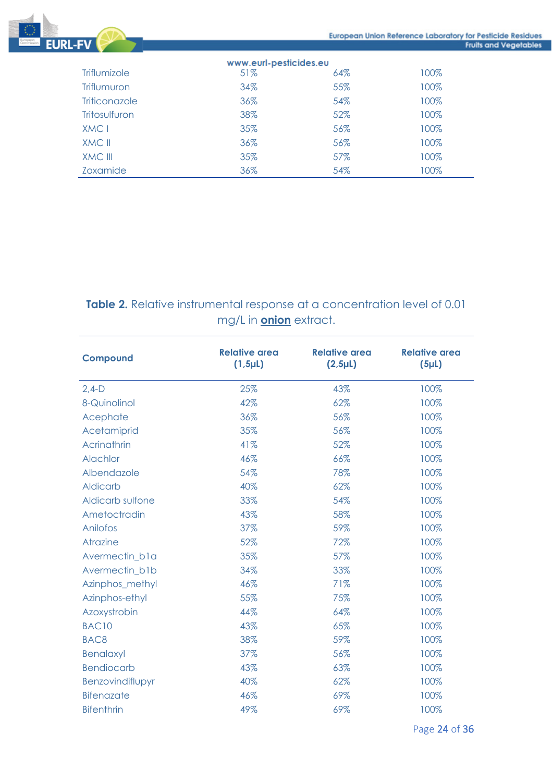

| www.eurl-pesticides.eu |     |     |      |  |
|------------------------|-----|-----|------|--|
| Triflumizole           | 51% | 64% | 100% |  |
| <b>Triflumuron</b>     | 34% | 55% | 100% |  |
| <b>Triticonazole</b>   | 36% | 54% | 100% |  |
| Tritosulfuron          | 38% | 52% | 100% |  |
| XMC I                  | 35% | 56% | 100% |  |
| XMC II                 | 36% | 56% | 100% |  |
| <b>XMC III</b>         | 35% | 57% | 100% |  |
| Zoxamide               | 36% | 54% | 100% |  |

# **Table 2.** Relative instrumental response at a concentration level of 0.01 mg/L in **onion** extract.

| <b>Compound</b>    | <b>Relative area</b><br>$(1, 5\muL)$ | <b>Relative area</b><br>$(2, 5\mu L)$ | <b>Relative area</b><br>(5 <sub>µ</sub> L) |
|--------------------|--------------------------------------|---------------------------------------|--------------------------------------------|
| $2,4-D$            | 25%                                  | 43%                                   | 100%                                       |
| 8-Quinolinol       | 42%                                  | 62%                                   | 100%                                       |
| Acephate           | 36%                                  | 56%                                   | 100%                                       |
| Acetamiprid        | 35%                                  | 56%                                   | 100%                                       |
| <b>Acrinathrin</b> | 41%                                  | 52%                                   | 100%                                       |
| Alachlor           | 46%                                  | 66%                                   | 100%                                       |
| Albendazole        | 54%                                  | 78%                                   | 100%                                       |
| <b>Aldicarb</b>    | 40%                                  | 62%                                   | 100%                                       |
| Aldicarb sulfone   | 33%                                  | 54%                                   | 100%                                       |
| Ametoctradin       | 43%                                  | 58%                                   | 100%                                       |
| Anilofos           | 37%                                  | 59%                                   | 100%                                       |
| <b>Atrazine</b>    | 52%                                  | 72%                                   | 100%                                       |
| Avermectin bla     | 35%                                  | 57%                                   | 100%                                       |
| Avermectin_b1b     | 34%                                  | 33%                                   | 100%                                       |
| Azinphos_methyl    | 46%                                  | 71%                                   | 100%                                       |
| Azinphos-ethyl     | 55%                                  | 75%                                   | 100%                                       |
| Azoxystrobin       | 44%                                  | 64%                                   | 100%                                       |
| <b>BAC10</b>       | 43%                                  | 65%                                   | 100%                                       |
| BAC <sub>8</sub>   | 38%                                  | 59%                                   | 100%                                       |
| <b>Benalaxyl</b>   | 37%                                  | 56%                                   | 100%                                       |
| <b>Bendiocarb</b>  | 43%                                  | 63%                                   | 100%                                       |
| Benzovindiflupyr   | 40%                                  | 62%                                   | 100%                                       |
| <b>Bifenazate</b>  | 46%                                  | 69%                                   | 100%                                       |
| <b>Bifenthrin</b>  | 49%                                  | 69%                                   | 100%                                       |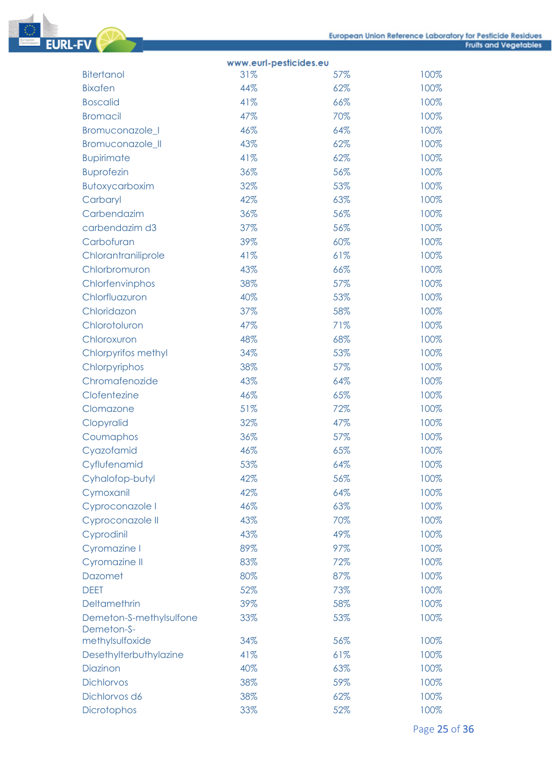

|                                       | www.eurl-pesticides.eu |     |      |
|---------------------------------------|------------------------|-----|------|
| <b>Bitertanol</b>                     | 31%                    | 57% | 100% |
| <b>Bixafen</b>                        | 44%                    | 62% | 100% |
| <b>Boscalid</b>                       | 41%                    | 66% | 100% |
| <b>Bromacil</b>                       | 47%                    | 70% | 100% |
| Bromuconazole_I                       | 46%                    | 64% | 100% |
| Bromuconazole_II                      | 43%                    | 62% | 100% |
| <b>Bupirimate</b>                     | 41%                    | 62% | 100% |
| <b>Buprofezin</b>                     | 36%                    | 56% | 100% |
| Butoxycarboxim                        | 32%                    | 53% | 100% |
| Carbaryl                              | 42%                    | 63% | 100% |
| Carbendazim                           | 36%                    | 56% | 100% |
| carbendazim d3                        | 37%                    | 56% | 100% |
| Carbofuran                            | 39%                    | 60% | 100% |
| Chlorantraniliprole                   | 41%                    | 61% | 100% |
| Chlorbromuron                         | 43%                    | 66% | 100% |
| Chlorfenvinphos                       | 38%                    | 57% | 100% |
| Chlorfluazuron                        | 40%                    | 53% | 100% |
| Chloridazon                           | 37%                    | 58% | 100% |
| Chlorotoluron                         | 47%                    | 71% | 100% |
| Chloroxuron                           | 48%                    | 68% | 100% |
| <b>Chlorpyrifos methyl</b>            | 34%                    | 53% | 100% |
| Chlorpyriphos                         | 38%                    | 57% | 100% |
| Chromafenozide                        | 43%                    | 64% | 100% |
| Clofentezine                          | 46%                    | 65% | 100% |
| Clomazone                             | 51%                    | 72% | 100% |
| Clopyralid                            | 32%                    | 47% | 100% |
| Coumaphos                             | 36%                    | 57% | 100% |
| Cyazofamid                            | 46%                    | 65% | 100% |
| Cyflufenamid                          | 53%                    | 64% | 100% |
| Cyhalofop-butyl                       | 42%                    | 56% | 100% |
| Cymoxanil                             | 42%                    | 64% | 100% |
| Cyproconazole I                       | 46%                    | 63% | 100% |
| Cyproconazole II                      | 43%                    | 70% | 100% |
| Cyprodinil                            | 43%                    | 49% | 100% |
| Cyromazine I                          | 89%                    | 97% | 100% |
| Cyromazine II                         | 83%                    | 72% | 100% |
| <b>Dazomet</b>                        | 80%                    | 87% | 100% |
| <b>DEET</b>                           | 52%                    | 73% | 100% |
| Deltamethrin                          | 39%                    | 58% | 100% |
| Demeton-S-methylsulfone<br>Demeton-S- | 33%                    | 53% | 100% |
| methylsulfoxide                       | 34%                    | 56% | 100% |
| Desethylterbuthylazine                | 41%                    | 61% | 100% |
| Diazinon                              | 40%                    | 63% | 100% |
| <b>Dichlorvos</b>                     | 38%                    | 59% | 100% |
| Dichlorvos d6                         | 38%                    | 62% | 100% |
| Dicrotophos                           | 33%                    | 52% | 100% |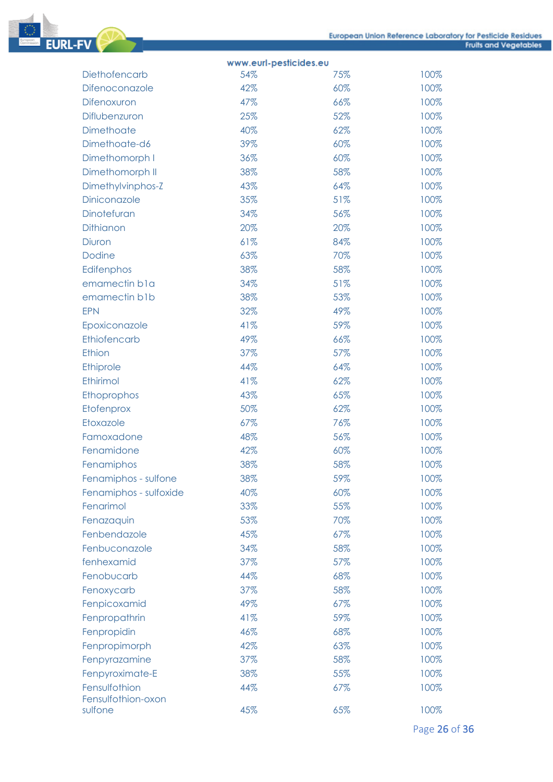

|                        | www.eurl-pesticides.eu |     |      |
|------------------------|------------------------|-----|------|
| Diethofencarb          | 54%                    | 75% | 100% |
| Difenoconazole         | 42%                    | 60% | 100% |
| Difenoxuron            | 47%                    | 66% | 100% |
| Diflubenzuron          | 25%                    | 52% | 100% |
| Dimethoate             | 40%                    | 62% | 100% |
| Dimethoate-d6          | 39%                    | 60% | 100% |
| Dimethomorph I         | 36%                    | 60% | 100% |
| Dimethomorph II        | 38%                    | 58% | 100% |
| Dimethylvinphos-Z      | 43%                    | 64% | 100% |
| <b>Diniconazole</b>    | 35%                    | 51% | 100% |
| Dinotefuran            | 34%                    | 56% | 100% |
| <b>Dithianon</b>       | 20%                    | 20% | 100% |
| <b>Diuron</b>          | 61%                    | 84% | 100% |
| <b>Dodine</b>          | 63%                    | 70% | 100% |
| Edifenphos             | 38%                    | 58% | 100% |
| emamectin b1a          | 34%                    | 51% | 100% |
| emamectin b1b          | 38%                    | 53% | 100% |
| <b>EPN</b>             | 32%                    | 49% | 100% |
| Epoxiconazole          | 41%                    | 59% | 100% |
| Ethiofencarb           | 49%                    | 66% | 100% |
| Ethion                 | 37%                    | 57% | 100% |
| Ethiprole              | 44%                    | 64% | 100% |
| Ethirimol              | 41%                    | 62% | 100% |
| Ethoprophos            | 43%                    | 65% | 100% |
| Etofenprox             | 50%                    | 62% | 100% |
| Etoxazole              | 67%                    | 76% | 100% |
| Famoxadone             | 48%                    | 56% | 100% |
| Fenamidone             | 42%                    | 60% | 100% |
| Fenamiphos             | 38%                    | 58% | 100% |
| Fenamiphos - sulfone   | 38%                    | 59% | 100% |
| Fenamiphos - sulfoxide | 40%                    | 60% | 100% |
| Fenarimol              | 33%                    | 55% | 100% |
| Fenazaquin             | 53%                    | 70% | 100% |
| Fenbendazole           | 45%                    | 67% | 100% |
| Fenbuconazole          | 34%                    | 58% | 100% |
| fenhexamid             | 37%                    | 57% | 100% |
| Fenobucarb             | 44%                    | 68% | 100% |
| Fenoxycarb             | 37%                    | 58% | 100% |
| Fenpicoxamid           | 49%                    | 67% | 100% |
| Fenpropathrin          | 41%                    | 59% | 100% |
| Fenpropidin            | 46%                    | 68% | 100% |
| Fenpropimorph          | 42%                    | 63% | 100% |
| Fenpyrazamine          | 37%                    | 58% | 100% |
| Fenpyroximate-E        | 38%                    | 55% | 100% |
| Fensulfothion          | 44%                    | 67% | 100% |
| Fensulfothion-oxon     |                        |     |      |
| sulfone                | 45%                    | 65% | 100% |

Page 26 of 36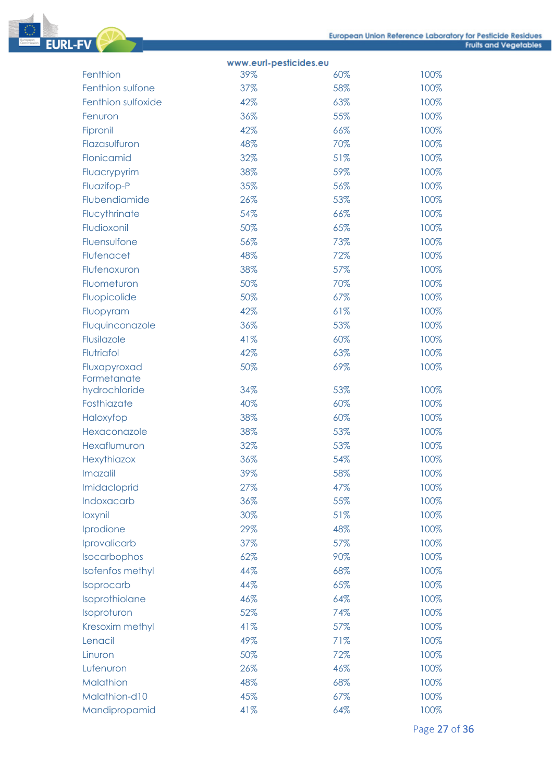

|                             | www.eurl-pesticides.eu |     |      |
|-----------------------------|------------------------|-----|------|
| Fenthion                    | 39%                    | 60% | 100% |
| Fenthion sulfone            | 37%                    | 58% | 100% |
| Fenthion sulfoxide          | 42%                    | 63% | 100% |
| Fenuron                     | 36%                    | 55% | 100% |
| Fipronil                    | 42%                    | 66% | 100% |
| Flazasulfuron               | 48%                    | 70% | 100% |
| Flonicamid                  | 32%                    | 51% | 100% |
| Fluacrypyrim                | 38%                    | 59% | 100% |
| Fluazifop-P                 | 35%                    | 56% | 100% |
| Flubendiamide               | 26%                    | 53% | 100% |
| Flucythrinate               | 54%                    | 66% | 100% |
| Fludioxonil                 | 50%                    | 65% | 100% |
| Fluensulfone                | 56%                    | 73% | 100% |
| Flufenacet                  | 48%                    | 72% | 100% |
| Flufenoxuron                | 38%                    | 57% | 100% |
| Fluometuron                 | 50%                    | 70% | 100% |
| Fluopicolide                | 50%                    | 67% | 100% |
| Fluopyram                   | 42%                    | 61% | 100% |
| Fluquinconazole             | 36%                    | 53% | 100% |
| Flusilazole                 | 41%                    | 60% | 100% |
| Flutriafol                  | 42%                    | 63% | 100% |
| Fluxapyroxad<br>Formetanate | 50%                    | 69% | 100% |
| hydrochloride               | 34%                    | 53% | 100% |
| Fosthiazate                 | 40%                    | 60% | 100% |
| Haloxyfop                   | 38%                    | 60% | 100% |
| Hexaconazole                | 38%                    | 53% | 100% |
| Hexaflumuron                | 32%                    | 53% | 100% |
| Hexythiazox                 | 36%                    | 54% | 100% |
| Imazalil                    | 39%                    | 58% | 100% |
| Imidacloprid                | 27%                    | 47% | 100% |
| Indoxacarb                  | 36%                    | 55% | 100% |
| loxynil                     | 30%                    | 51% | 100% |
| Iprodione                   | 29%                    | 48% | 100% |
| Iprovalicarb                | 37%                    | 57% | 100% |
| Isocarbophos                | 62%                    | 90% | 100% |
| <b>Isofenfos methyl</b>     | 44%                    | 68% | 100% |
| Isoprocarb                  | 44%                    | 65% | 100% |
| Isoprothiolane              | 46%                    | 64% | 100% |
| Isoproturon                 | 52%                    | 74% | 100% |
| Kresoxim methyl             | 41%                    | 57% | 100% |
| Lenacil                     | 49%                    | 71% | 100% |
| Linuron                     | 50%                    | 72% | 100% |
| Lufenuron                   | 26%                    | 46% | 100% |
| Malathion                   | 48%                    | 68% | 100% |
| Malathion-d10               | 45%                    | 67% | 100% |
| Mandipropamid               | 41%                    | 64% | 100% |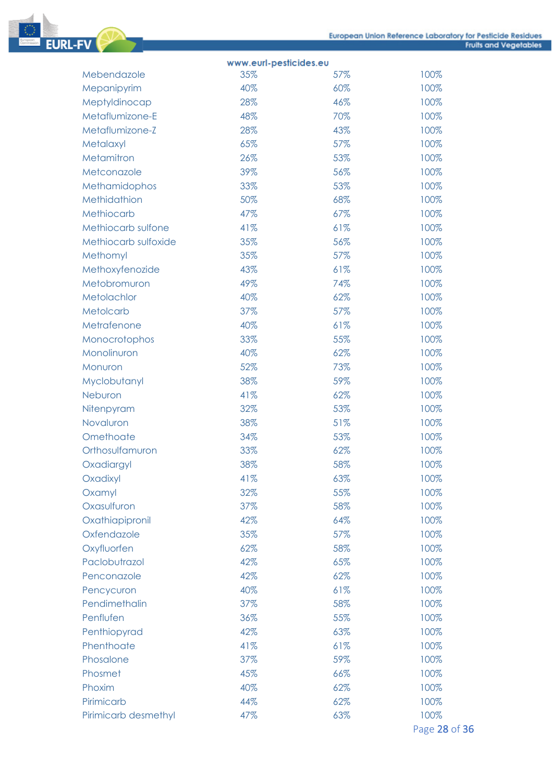|                      | www.eurl-pesticides.eu |     |               |
|----------------------|------------------------|-----|---------------|
| Mebendazole          | 35%                    | 57% | 100%          |
| Mepanipyrim          | 40%                    | 60% | 100%          |
| Meptyldinocap        | 28%                    | 46% | 100%          |
| Metaflumizone-E      | 48%                    | 70% | 100%          |
| Metaflumizone-Z      | 28%                    | 43% | 100%          |
| Metalaxyl            | 65%                    | 57% | 100%          |
| Metamitron           | 26%                    | 53% | 100%          |
| Metconazole          | 39%                    | 56% | 100%          |
| Methamidophos        | 33%                    | 53% | 100%          |
| Methidathion         | 50%                    | 68% | 100%          |
| Methiocarb           | 47%                    | 67% | 100%          |
| Methiocarb sulfone   | 41%                    | 61% | 100%          |
| Methiocarb sulfoxide | 35%                    | 56% | 100%          |
| Methomyl             | 35%                    | 57% | 100%          |
| Methoxyfenozide      | 43%                    | 61% | 100%          |
| Metobromuron         | 49%                    | 74% | 100%          |
| Metolachlor          | 40%                    | 62% | 100%          |
| Metolcarb            | 37%                    | 57% | 100%          |
| Metrafenone          | 40%                    | 61% | 100%          |
| Monocrotophos        | 33%                    | 55% | 100%          |
| Monolinuron          | 40%                    | 62% | 100%          |
| Monuron              | 52%                    | 73% | 100%          |
| Myclobutanyl         | 38%                    | 59% | 100%          |
| Neburon              | 41%                    | 62% | 100%          |
| Nitenpyram           | 32%                    | 53% | 100%          |
| Novaluron            | 38%                    | 51% | 100%          |
| Omethoate            | 34%                    | 53% | 100%          |
| Orthosulfamuron      | 33%                    | 62% | 100%          |
| Oxadiargyl           | 38%                    | 58% | 100%          |
| Oxadixyl             | 41%                    | 63% | 100%          |
| Oxamyl               | 32%                    | 55% | 100%          |
| Oxasulfuron          | 37%                    | 58% | 100%          |
| Oxathiapipronil      | 42%                    | 64% | 100%          |
| Oxfendazole          | 35%                    | 57% | 100%          |
| Oxyfluorfen          | 62%                    | 58% | 100%          |
| Paclobutrazol        | 42%                    | 65% | 100%          |
| Penconazole          | 42%                    | 62% | 100%          |
| Pencycuron           | 40%                    | 61% | 100%          |
| Pendimethalin        | 37%                    | 58% | 100%          |
| Penflufen            | 36%                    | 55% | 100%          |
| Penthiopyrad         | 42%                    | 63% | 100%          |
| Phenthoate           | 41%                    | 61% | 100%          |
| Phosalone            | 37%                    | 59% | 100%          |
| Phosmet              | 45%                    | 66% | 100%          |
| Phoxim               | 40%                    | 62% | 100%          |
| Pirimicarb           | 44%                    | 62% | 100%          |
| Pirimicarb desmethyl | 47%                    | 63% | 100%          |
|                      |                        |     | Page 28 of 36 |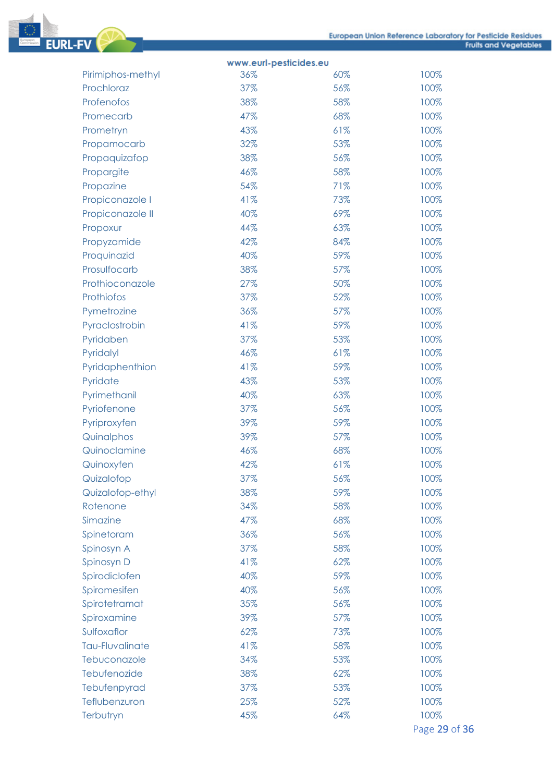

|                        | www.eurl-pesticides.eu |     |               |
|------------------------|------------------------|-----|---------------|
| Pirimiphos-methyl      | 36%                    | 60% | 100%          |
| Prochloraz             | 37%                    | 56% | 100%          |
| Profenofos             | 38%                    | 58% | 100%          |
| Promecarb              | 47%                    | 68% | 100%          |
| Prometryn              | 43%                    | 61% | 100%          |
| Propamocarb            | 32%                    | 53% | 100%          |
| Propaquizafop          | 38%                    | 56% | 100%          |
| Propargite             | 46%                    | 58% | 100%          |
| Propazine              | 54%                    | 71% | 100%          |
| Propiconazole I        | 41%                    | 73% | 100%          |
| Propiconazole II       | 40%                    | 69% | 100%          |
| Propoxur               | 44%                    | 63% | 100%          |
| Propyzamide            | 42%                    | 84% | 100%          |
| Proquinazid            | 40%                    | 59% | 100%          |
| Prosulfocarb           | 38%                    | 57% | 100%          |
| Prothioconazole        | 27%                    | 50% | 100%          |
| Prothiofos             | 37%                    | 52% | 100%          |
| Pymetrozine            | 36%                    | 57% | 100%          |
| Pyraclostrobin         | 41%                    | 59% | 100%          |
| Pyridaben              | 37%                    | 53% | 100%          |
| Pyridalyl              | 46%                    | 61% | 100%          |
| Pyridaphenthion        | 41%                    | 59% | 100%          |
| Pyridate               | 43%                    | 53% | 100%          |
| Pyrimethanil           | 40%                    | 63% | 100%          |
| Pyriofenone            | 37%                    | 56% | 100%          |
| Pyriproxyfen           | 39%                    | 59% | 100%          |
| Quinalphos             | 39%                    | 57% | 100%          |
| Quinoclamine           | 46%                    | 68% | 100%          |
| Quinoxyfen             | 42%                    | 61% | 100%          |
| Quizalofop             | 37%                    | 56% | 100%          |
| Quizalofop-ethyl       | 38%                    | 59% | 100%          |
| Rotenone               | 34%                    | 58% | 100%          |
| Simazine               | 47%                    | 68% | 100%          |
| Spinetoram             | 36%                    | 56% | 100%          |
| Spinosyn A             | 37%                    | 58% | 100%          |
| Spinosyn D             | 41%                    | 62% | 100%          |
| Spirodiclofen          | 40%                    | 59% | 100%          |
| Spiromesifen           | 40%                    | 56% | 100%          |
| Spirotetramat          | 35%                    | 56% | 100%          |
| Spiroxamine            | 39%                    | 57% | 100%          |
| Sulfoxaflor            | 62%                    | 73% | 100%          |
| <b>Tau-Fluvalinate</b> | 41%                    | 58% | 100%          |
| Tebuconazole           | 34%                    | 53% | 100%          |
| Tebufenozide           | 38%                    | 62% | 100%          |
| Tebufenpyrad           | 37%                    | 53% | 100%          |
| Teflubenzuron          | 25%                    | 52% | 100%          |
| Terbutryn              | 45%                    | 64% | 100%          |
|                        |                        |     | Page 29 of 36 |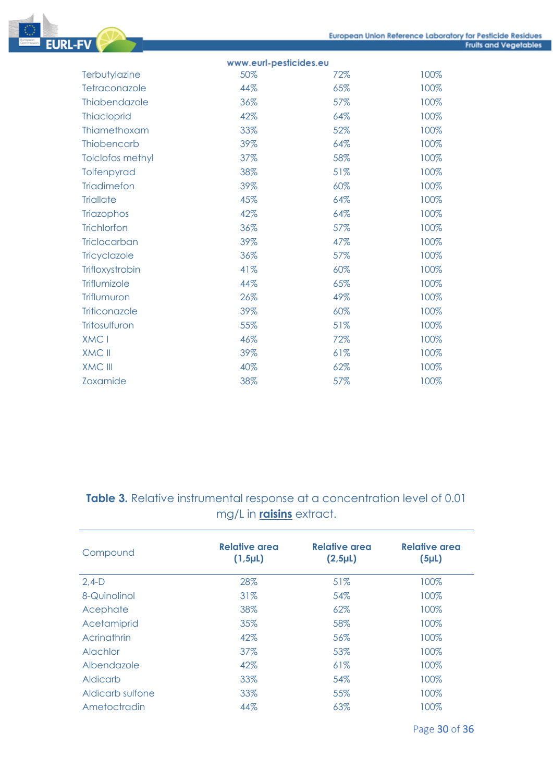

# **Table 3.** Relative instrumental response at a concentration level of 0.01 mg/L in **raisins** extract.

Triticonazole 39% 60% 100% Tritosulfuron 55% 51% 100%  $XMC I$  100% and  $46\%$  300% and  $72\%$  3100% and  $100\%$  $XMC II$  39% 61% 100% XMC III 40% 62% 100% Zoxamide 38% 57% 100%

| Compound         | Relative area<br>$(1, 5\mu L)$ | Relative area<br>$(2, 5\mu L)$ | Relative area<br>(5 <sub>µ</sub> L) |
|------------------|--------------------------------|--------------------------------|-------------------------------------|
| $2,4-D$          | 28%                            | 51%                            | 100%                                |
| 8-Quinolinol     | 31%                            | 54%                            | 100%                                |
| Acephate         | 38%                            | $62\%$                         | 100%                                |
| Acetamiprid      | 35%                            | 58%                            | 100%                                |
| Acrinathrin      | 42%                            | 56%                            | 100%                                |
| Alachlor         | 37%                            | 53%                            | 100%                                |
| Albendazole      | 42%                            | 61%                            | 100%                                |
| <b>Aldicarb</b>  | 33%                            | 54%                            | 100%                                |
| Aldicarb sulfone | 33%                            | 55%                            | 100%                                |
| Ametoctradin     | 44%                            | 63%                            | 100%                                |

Page 30 of 36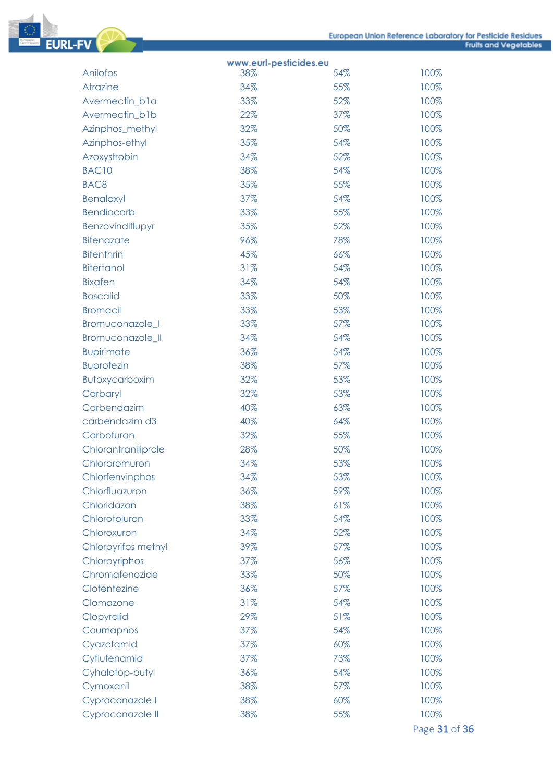

|                            | www.eurl-pesticides.eu |     |               |
|----------------------------|------------------------|-----|---------------|
| Anilofos                   | 38%                    | 54% | 100%          |
| Atrazine                   | 34%                    | 55% | 100%          |
| Avermectin_b1a             | 33%                    | 52% | 100%          |
| Avermectin_b1b             | 22%                    | 37% | 100%          |
| Azinphos_methyl            | 32%                    | 50% | 100%          |
| Azinphos-ethyl             | 35%                    | 54% | 100%          |
| Azoxystrobin               | 34%                    | 52% | 100%          |
| <b>BAC10</b>               | 38%                    | 54% | 100%          |
| BAC <sub>8</sub>           | 35%                    | 55% | 100%          |
| <b>Benalaxyl</b>           | 37%                    | 54% | 100%          |
| <b>Bendiocarb</b>          | 33%                    | 55% | 100%          |
| Benzovindiflupyr           | 35%                    | 52% | 100%          |
| <b>Bifenazate</b>          | 96%                    | 78% | 100%          |
| <b>Bifenthrin</b>          | 45%                    | 66% | 100%          |
| <b>Bitertanol</b>          | 31%                    | 54% | 100%          |
| <b>Bixafen</b>             | 34%                    | 54% | 100%          |
| <b>Boscalid</b>            | 33%                    | 50% | 100%          |
| <b>Bromacil</b>            | 33%                    | 53% | 100%          |
| Bromuconazole_I            | 33%                    | 57% | 100%          |
| Bromuconazole_II           | 34%                    | 54% | 100%          |
| <b>Bupirimate</b>          | 36%                    | 54% | 100%          |
| <b>Buprofezin</b>          | 38%                    | 57% | 100%          |
| Butoxycarboxim             | 32%                    | 53% | 100%          |
| Carbaryl                   | 32%                    | 53% | 100%          |
| Carbendazim                | 40%                    | 63% | 100%          |
| carbendazim d3             | 40%                    | 64% | 100%          |
| Carbofuran                 | 32%                    | 55% | 100%          |
| Chlorantraniliprole        | 28%                    | 50% | 100%          |
| Chlorbromuron              | 34%                    | 53% | 100%          |
| Chlorfenvinphos            | 34%                    | 53% | 100%          |
| Chlorfluazuron             | 36%                    | 59% | 100%          |
| Chloridazon                | 38%                    | 61% | 100%          |
| Chlorotoluron              | 33%                    | 54% | 100%          |
| Chloroxuron                | 34%                    | 52% | 100%          |
| <b>Chlorpyrifos methyl</b> | 39%                    | 57% | 100%          |
| Chlorpyriphos              | 37%                    | 56% | 100%          |
| Chromafenozide             | 33%                    | 50% | 100%          |
| Clofentezine               | 36%                    | 57% | 100%          |
| Clomazone                  | 31%                    | 54% | 100%          |
| Clopyralid                 | 29%                    | 51% | 100%          |
| Coumaphos                  | 37%                    | 54% | 100%          |
| Cyazofamid                 | 37%                    | 60% | 100%          |
| Cyflufenamid               | 37%                    | 73% | 100%          |
| Cyhalofop-butyl            | 36%                    | 54% | 100%          |
| Cymoxanil                  | 38%                    | 57% | 100%          |
| Cyproconazole I            | 38%                    | 60% | 100%          |
| Cyproconazole II           | 38%                    | 55% | 100%          |
|                            |                        |     | Page 31 of 36 |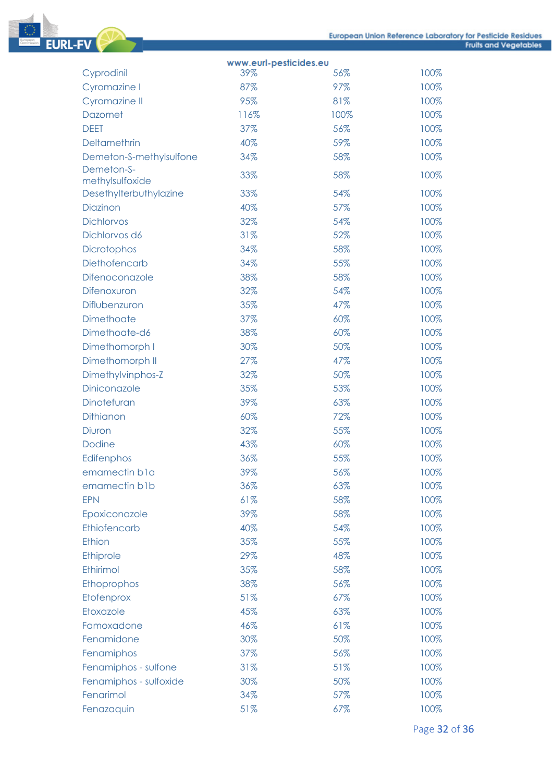| www.eurl-pesticides.eu        |      |      |      |
|-------------------------------|------|------|------|
| Cyprodinil                    | 39%  | 56%  | 100% |
| Cyromazine I                  | 87%  | 97%  | 100% |
| Cyromazine II                 | 95%  | 81%  | 100% |
| Dazomet                       | 116% | 100% | 100% |
| <b>DEET</b>                   | 37%  | 56%  | 100% |
| Deltamethrin                  | 40%  | 59%  | 100% |
| Demeton-S-methylsulfone       | 34%  | 58%  | 100% |
| Demeton-S-<br>methylsulfoxide | 33%  | 58%  | 100% |
| Desethylterbuthylazine        | 33%  | 54%  | 100% |
| Diazinon                      | 40%  | 57%  | 100% |
| <b>Dichlorvos</b>             | 32%  | 54%  | 100% |
| Dichlorvos d6                 | 31%  | 52%  | 100% |
| Dicrotophos                   | 34%  | 58%  | 100% |
| Diethofencarb                 | 34%  | 55%  | 100% |
| Difenoconazole                | 38%  | 58%  | 100% |
| Difenoxuron                   | 32%  | 54%  | 100% |
| Diflubenzuron                 | 35%  | 47%  | 100% |
| Dimethoate                    | 37%  | 60%  | 100% |
| Dimethoate-d6                 | 38%  | 60%  | 100% |
| Dimethomorph I                | 30%  | 50%  | 100% |
| Dimethomorph II               | 27%  | 47%  | 100% |
| Dimethylvinphos-Z             | 32%  | 50%  | 100% |
| Diniconazole                  | 35%  | 53%  | 100% |
| Dinotefuran                   | 39%  | 63%  | 100% |
| Dithianon                     | 60%  | 72%  | 100% |
| Diuron                        | 32%  | 55%  | 100% |
| <b>Dodine</b>                 | 43%  | 60%  | 100% |
| Edifenphos                    | 36%  | 55%  | 100% |
| emamectin bla                 | 39%  | 56%  | 100% |
| emamectin b1b                 | 36%  | 63%  | 100% |
| <b>EPN</b>                    | 61%  | 58%  | 100% |
| Epoxiconazole                 | 39%  | 58%  | 100% |
| Ethiofencarb                  | 40%  | 54%  | 100% |
| Ethion                        | 35%  | 55%  | 100% |
| Ethiprole                     | 29%  | 48%  | 100% |
| Ethirimol                     | 35%  | 58%  | 100% |
| Ethoprophos                   | 38%  | 56%  | 100% |
| Etofenprox                    | 51%  | 67%  | 100% |
| Etoxazole                     | 45%  | 63%  | 100% |
| Famoxadone                    | 46%  | 61%  | 100% |
| Fenamidone                    | 30%  | 50%  | 100% |
| Fenamiphos                    | 37%  | 56%  | 100% |
| Fenamiphos - sulfone          | 31%  | 51%  | 100% |
| Fenamiphos - sulfoxide        | 30%  | 50%  | 100% |
| Fenarimol                     | 34%  | 57%  | 100% |
| Fenazaquin                    | 51%  | 67%  | 100% |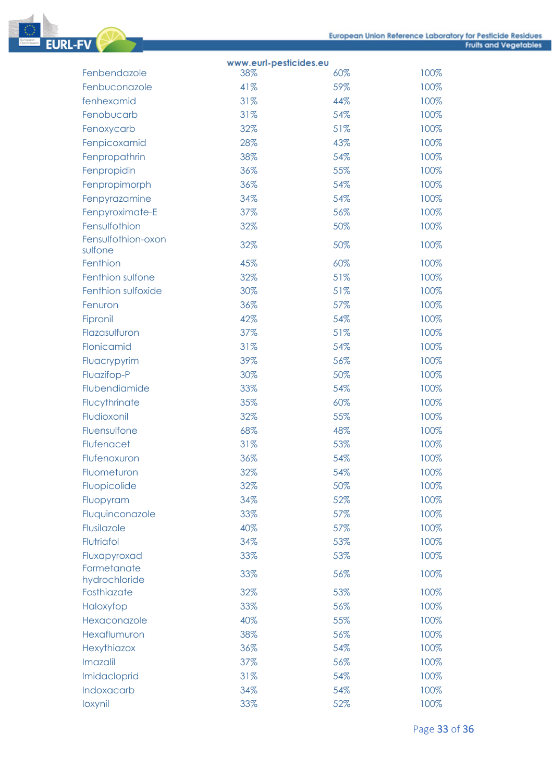

| www.eurl-pesticides.eu |     |     |      |  |
|------------------------|-----|-----|------|--|
| Fenbendazole           | 38% | 60% | 100% |  |
| Fenbuconazole          | 41% | 59% | 100% |  |
| fenhexamid             | 31% | 44% | 100% |  |
| Fenobucarb             | 31% | 54% | 100% |  |
| Fenoxycarb             | 32% | 51% | 100% |  |
| Fenpicoxamid           | 28% | 43% | 100% |  |
| Fenpropathrin          | 38% | 54% | 100% |  |
| Fenpropidin            | 36% | 55% | 100% |  |
| Fenpropimorph          | 36% | 54% | 100% |  |
| Fenpyrazamine          | 34% | 54% | 100% |  |
| Fenpyroximate-E        | 37% | 56% | 100% |  |
| Fensulfothion          | 32% | 50% | 100% |  |
| Fensulfothion-oxon     | 32% | 50% | 100% |  |
| sulfone                |     |     |      |  |
| Fenthion               | 45% | 60% | 100% |  |
| Fenthion sulfone       | 32% | 51% | 100% |  |
| Fenthion sulfoxide     | 30% | 51% | 100% |  |
| Fenuron                | 36% | 57% | 100% |  |
| Fipronil               | 42% | 54% | 100% |  |
| Flazasulfuron          | 37% | 51% | 100% |  |
| Flonicamid             | 31% | 54% | 100% |  |
| Fluacrypyrim           | 39% | 56% | 100% |  |
| Fluazifop-P            | 30% | 50% | 100% |  |
| Flubendiamide          | 33% | 54% | 100% |  |
| Flucythrinate          | 35% | 60% | 100% |  |
| Fludioxonil            | 32% | 55% | 100% |  |
| Fluensulfone           | 68% | 48% | 100% |  |
| Flufenacet             | 31% | 53% | 100% |  |
| Flufenoxuron           | 36% | 54% | 100% |  |
| Fluometuron            | 32% | 54% | 100% |  |
| Fluopicolide           | 32% | 50% | 100% |  |
| Fluopyram              | 34% | 52% | 100% |  |
| Fluquinconazole        | 33% | 57% | 100% |  |
| Flusilazole            | 40% | 57% | 100% |  |
| Flutriafol             | 34% | 53% | 100% |  |
| Fluxapyroxad           | 33% | 53% | 100% |  |
| Formetanate            | 33% | 56% | 100% |  |
| hydrochloride          |     |     |      |  |
| Fosthiazate            | 32% | 53% | 100% |  |
| Haloxyfop              | 33% | 56% | 100% |  |
| Hexaconazole           | 40% | 55% | 100% |  |
| Hexaflumuron           | 38% | 56% | 100% |  |
| Hexythiazox            | 36% | 54% | 100% |  |
| Imazalil               | 37% | 56% | 100% |  |
| Imidacloprid           | 31% | 54% | 100% |  |
| Indoxacarb             | 34% | 54% | 100% |  |
| loxynil                | 33% | 52% | 100% |  |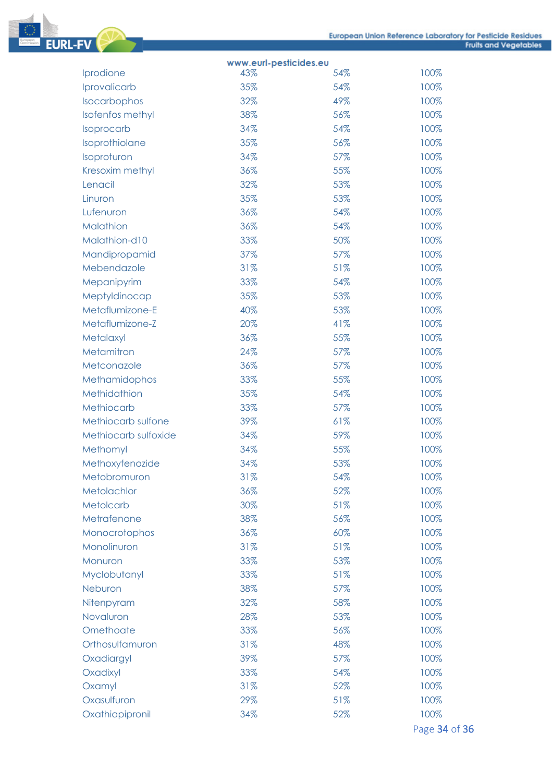

|                         | www.eurl-pesticides.eu |     |      |
|-------------------------|------------------------|-----|------|
| Iprodione               | 43%                    | 54% | 100% |
| Iprovalicarb            | 35%                    | 54% | 100% |
| Isocarbophos            | 32%                    | 49% | 100% |
| <b>Isofenfos methyl</b> | 38%                    | 56% | 100% |
| Isoprocarb              | 34%                    | 54% | 100% |
| Isoprothiolane          | 35%                    | 56% | 100% |
| Isoproturon             | 34%                    | 57% | 100% |
| Kresoxim methyl         | 36%                    | 55% | 100% |
| Lenacil                 | 32%                    | 53% | 100% |
| Linuron                 | 35%                    | 53% | 100% |
| Lufenuron               | 36%                    | 54% | 100% |
| Malathion               | 36%                    | 54% | 100% |
| Malathion-d10           | 33%                    | 50% | 100% |
|                         |                        |     |      |
| Mandipropamid           | 37%                    | 57% | 100% |
| Mebendazole             | 31%                    | 51% | 100% |
| Mepanipyrim             | 33%                    | 54% | 100% |
| Meptyldinocap           | 35%                    | 53% | 100% |
| Metaflumizone-E         | 40%                    | 53% | 100% |
| Metaflumizone-Z         | 20%                    | 41% | 100% |
| Metalaxyl               | 36%                    | 55% | 100% |
| Metamitron              | 24%                    | 57% | 100% |
| Metconazole             | 36%                    | 57% | 100% |
| Methamidophos           | 33%                    | 55% | 100% |
| Methidathion            | 35%                    | 54% | 100% |
| Methiocarb              | 33%                    | 57% | 100% |
| Methiocarb sulfone      | 39%                    | 61% | 100% |
| Methiocarb sulfoxide    | 34%                    | 59% | 100% |
| Methomyl                | 34%                    | 55% | 100% |
| Methoxyfenozide         | 34%                    | 53% | 100% |
| Metobromuron            | 31%                    | 54% | 100% |
| Metolachlor             | 36%                    | 52% | 100% |
| Metolcarb               | 30%                    | 51% | 100% |
| Metrafenone             | 38%                    | 56% | 100% |
| Monocrotophos           | 36%                    | 60% | 100% |
| Monolinuron             |                        |     | 100% |
|                         | 31%                    | 51% |      |
| Monuron                 | 33%                    | 53% | 100% |
| Myclobutanyl            | 33%                    | 51% | 100% |
| Neburon                 | 38%                    | 57% | 100% |
| Nitenpyram              | 32%                    | 58% | 100% |
| Novaluron               | 28%                    | 53% | 100% |
| Omethoate               | 33%                    | 56% | 100% |
| Orthosulfamuron         | 31%                    | 48% | 100% |
| Oxadiargyl              | 39%                    | 57% | 100% |
| Oxadixyl                | 33%                    | 54% | 100% |
| Oxamyl                  | 31%                    | 52% | 100% |
| Oxasulfuron             | 29%                    | 51% | 100% |
| Oxathiapipronil         | 34%                    | 52% | 100% |
|                         |                        |     |      |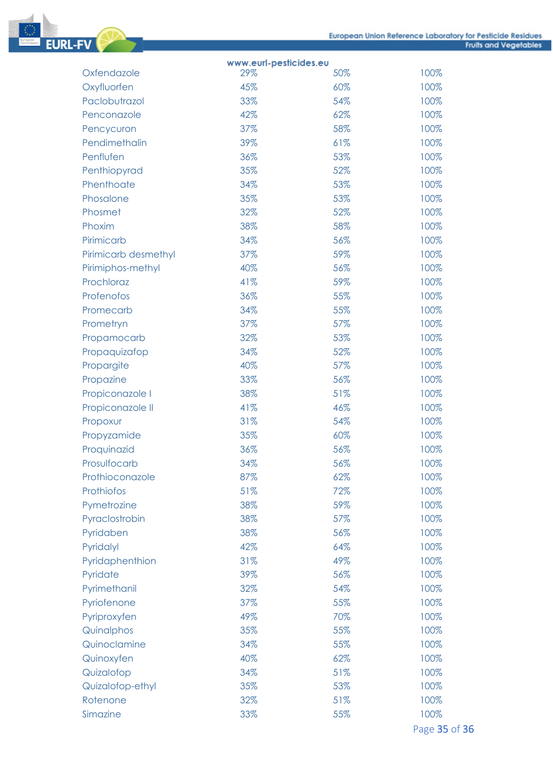|                      | www.eurl-pesticides.eu |     |               |
|----------------------|------------------------|-----|---------------|
| Oxfendazole          | 29%                    | 50% | 100%          |
| Oxyfluorfen          | 45%                    | 60% | 100%          |
| Paclobutrazol        | 33%                    | 54% | 100%          |
| Penconazole          | 42%                    | 62% | 100%          |
| Pencycuron           | 37%                    | 58% | 100%          |
| Pendimethalin        | 39%                    | 61% | 100%          |
| Penflufen            | 36%                    | 53% | 100%          |
| Penthiopyrad         | 35%                    | 52% | 100%          |
| Phenthoate           | 34%                    | 53% | 100%          |
| Phosalone            | 35%                    | 53% | 100%          |
| Phosmet              | 32%                    | 52% | 100%          |
| Phoxim               | 38%                    | 58% | 100%          |
| Pirimicarb           | 34%                    | 56% | 100%          |
| Pirimicarb desmethyl | 37%                    | 59% | 100%          |
| Pirimiphos-methyl    | 40%                    | 56% | 100%          |
| Prochloraz           | 41%                    | 59% | 100%          |
| Profenofos           | 36%                    | 55% | 100%          |
| Promecarb            | 34%                    | 55% | 100%          |
| Prometryn            | 37%                    | 57% | 100%          |
| Propamocarb          | 32%                    | 53% | 100%          |
| Propaquizafop        | 34%                    | 52% | 100%          |
| Propargite           | 40%                    | 57% | 100%          |
| Propazine            | 33%                    | 56% | 100%          |
| Propiconazole I      | 38%                    | 51% | 100%          |
| Propiconazole II     | 41%                    | 46% | 100%          |
| Propoxur             | 31%                    | 54% | 100%          |
| Propyzamide          | 35%                    | 60% | 100%          |
| Proquinazid          | 36%                    | 56% | 100%          |
| Prosulfocarb         | 34%                    | 56% | 100%          |
| Prothioconazole      | 87%                    | 62% | 100%          |
| Prothiofos           | 51%                    | 72% | 100%          |
| Pymetrozine          | 38%                    | 59% | 100%          |
| Pyraclostrobin       | 38%                    | 57% | 100%          |
| Pyridaben            | 38%                    | 56% | 100%          |
| Pyridalyl            | 42%                    | 64% | 100%          |
| Pyridaphenthion      | 31%                    | 49% | 100%          |
| Pyridate             | 39%                    | 56% | 100%          |
| Pyrimethanil         | 32%                    | 54% | 100%          |
| Pyriofenone          | 37%                    | 55% | 100%          |
| Pyriproxyfen         | 49%                    | 70% | 100%          |
| Quinalphos           | 35%                    | 55% | 100%          |
| Quinoclamine         | 34%                    | 55% | 100%          |
| Quinoxyfen           | 40%                    | 62% | 100%          |
| Quizalofop           | 34%                    | 51% | 100%          |
| Quizalofop-ethyl     | 35%                    | 53% | 100%          |
| Rotenone             | 32%                    | 51% | 100%          |
| Simazine             | 33%                    | 55% | 100%          |
|                      |                        |     | Page 35 of 36 |